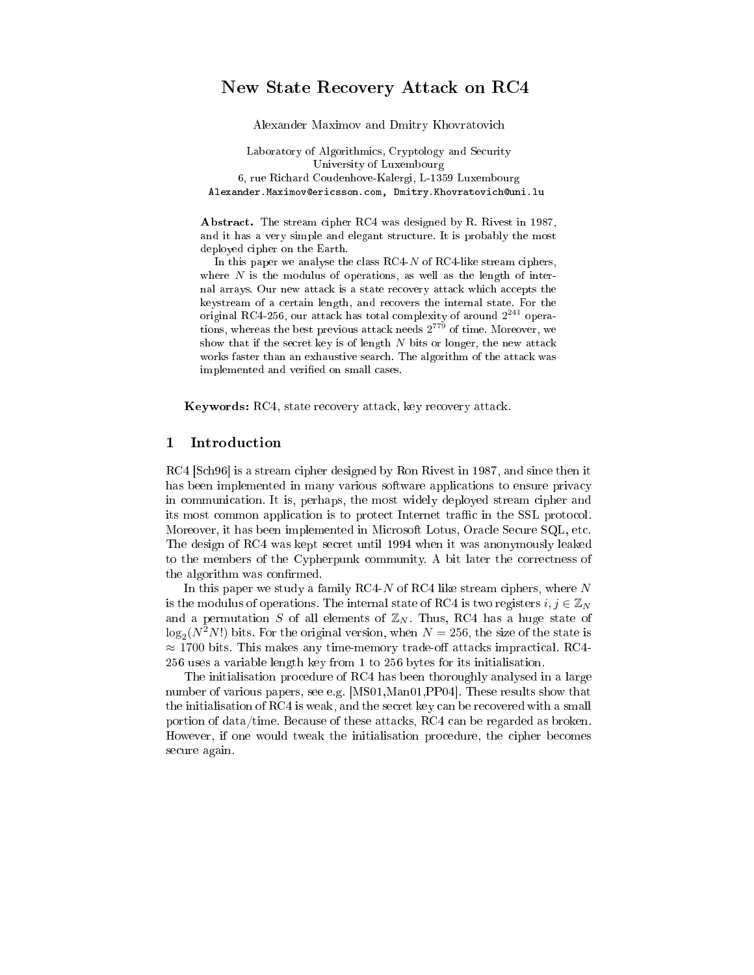# New State Recovery Attack on RC4

Alexander Maximov and Dmitry Khovratovich

Laboratory of Algorithmics, Cryptology and Security University of Luxembourg 6, rue Richard Coudenhove-Kalergi, L-1359 Luxembourg Alexander.Maximov@ericsson.com, Dmitry.Khovratovich@uni.lu

Abstract. The stream cipher RC4 was designed by R. Rivest in 1987, and it has a very simple and elegant structure. It is probably the most deployed cipher on the Earth.

In this paper we analyse the class  $RC4-N$  of  $RC4$ -like stream ciphers, where  $N$  is the modulus of operations, as well as the length of internal arrays. Our new attack is a state recovery attack which accepts the keystream of a certain length, and recovers the internal state. For the original RC4-256, our attack has total complexity of around  $2^{241}$  operations, whereas the best previous attack needs  $2^{779}$  of time. Moreover, we show that if the secret key is of length  $N$  bits or longer, the new attack works faster than an exhaustive search. The algorithm of the attack was implemented and verified on small cases.

Keywords: RC4, state recovery attack, key recovery attack.

## 1 Introduction

RC4 [Sch96] is a stream cipher designed by Ron Rivest in 1987, and since then it has been implemented in many various software applications to ensure privacy in communication. It is, perhaps, the most widely deployed stream cipher and its most common application is to protect Internet traffic in the SSL protocol. Moreover, it has been implemented in Microsoft Lotus, Oracle Secure SQL, etc. The design of RC4 was kept secret until 1994 when it was anonymously leaked to the members of the Cypherpunk community. A bit later the correctness of the algorithm was confirmed.

In this paper we study a family RC4- $N$  of RC4 like stream ciphers, where  $N$ is the modulus of operations. The internal state of RC4 is two registers  $i, j \in \mathbb{Z}_N$ and a permutation S of all elements of  $\mathbb{Z}_N$ . Thus, RC4 has a huge state of  $\log_2(N^2 N!)$  bits. For the original version, when  $N = 256$ , the size of the state is  $\approx$  1700 bits. This makes any time-memory trade-off attacks impractical. RC4-256 uses a variable length key from 1 to 256 bytes for its initialisation.

The initialisation procedure of RC4 has been thoroughly analysed in a large number of various papers, see e.g. [MS01,Man01, PP04]. These results show that the initialisation of RC4 is weak, and the secret key can be recovered with a small portion of data/time. Because of these attacks, RC4 can be regarded as broken. However, if one would tweak the initialisation procedure, the cipher becomes secure again.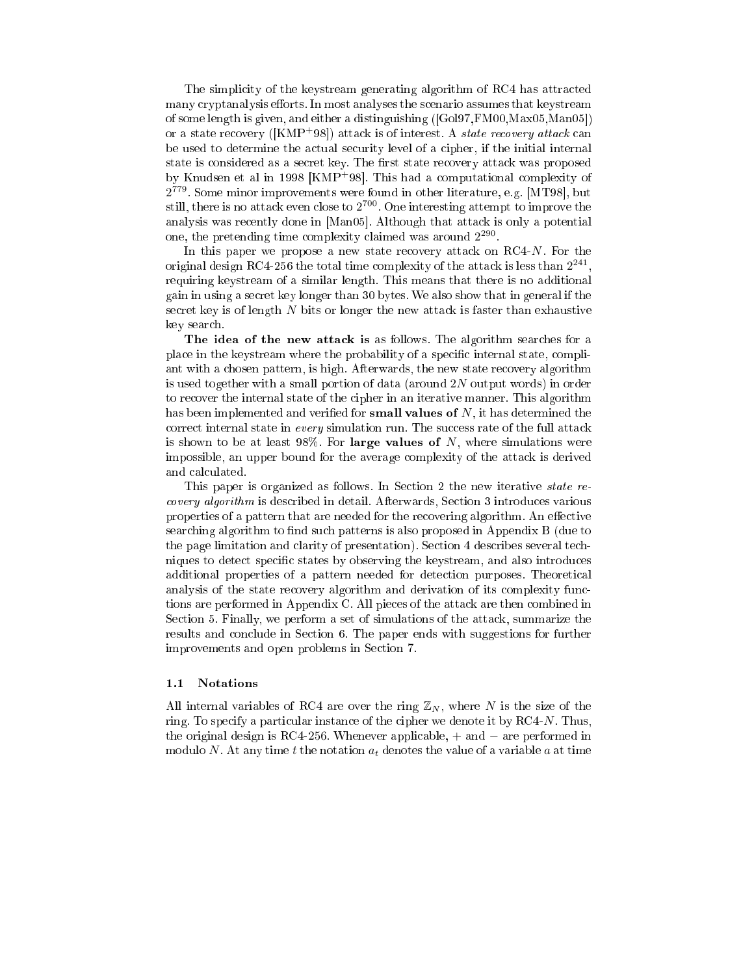The simplicity of the keystream generating algorithm of RC4 has attracted many cryptanalysis efforts. In most analyses the scenario assumes that keystream of some length is given, and either a distinguishing ([Gol97,FM00,Max05,Man05]) or a state recovery ( $\text{[KMP+98]}$ ) attack is of interest. A *state recovery attack* can be used to determine the actual security level of a cipher, if the initial internal state is considered as a secret key. The first state recovery attack was proposed by Knudsen et al in 1998 [KMP+98]. This had <sup>a</sup> computational complexity of 2 779 . Some minor improvements were found in other literature, e.g. [MT98], but still, there is no attack even close to  $2^{700}.$  One interesting attempt to improve the analysis was recently done in [Man05]. Although that attack is only a potential one, the pretending time complexity claimed was around  $2^{290}$ .

In this paper we propose a new state recovery attack on  $RCA-N$ . For the original design RC4-256 the total time complexity of the attack is less than  $2^{241},$ requiring keystream of a similar length. This means that there is no additional gain in using a secret key longer than 30 bytes. We also show that in general if the secret key is of length  $N$  bits or longer the new attack is faster than exhaustive key search.

The idea of the new attack is as follows. The algorithm searches for a place in the keystream where the probability of a specific internal state, compliant with a chosen pattern, is high. Afterwards, the new state recovery algorithm is used together with <sup>a</sup> small portion of data (around 2N output words) in order to recover the internal state of the cipher in an iterative manner. This algorithm has been implemented and verified for **small values of**  $N$ , it has determined the correct internal state in every simulation run. The success rate of the full attack is shown to be at least  $98\%$ . For large values of N, where simulations were impossible, an upper bound for the average complexity of the attack is derived and calculated.

This paper is organized as follows. In Section 2 the new iterative *state re*covery algorithm is described in detail. Afterwards, Section 3 introduces various properties of a pattern that are needed for the recovering algorithm. An effective searching algorithm to find such patterns is also proposed in Appendix B (due to the page limitation and clarity of presentation). Section 4 describes several techniques to detect specific states by observing the keystream, and also introduces additional properties of a pattern needed for detection purposes. Theoretical analysis of the state recovery algorithm and derivation of its complexity functions are performed in Appendix C. All pieces of the attack are then combined in Section 5. Finally, we perform a set of simulations of the attack, summarize the results and conclude in Section 6. The paper ends with suggestions for further improvements and open problems in Section 7.

## 1.1 Notations

All internal variables of RC4 are over the ring  $\mathbb{Z}_N$ , where N is the size of the ring. To specify a particular instance of the cipher we denote it by  $RCA-N$ . Thus, the original design is RC4-256. Whenever applicable, + and − are performed in modulo N. At any time t the notation  $a_t$  denotes the value of a variable a at time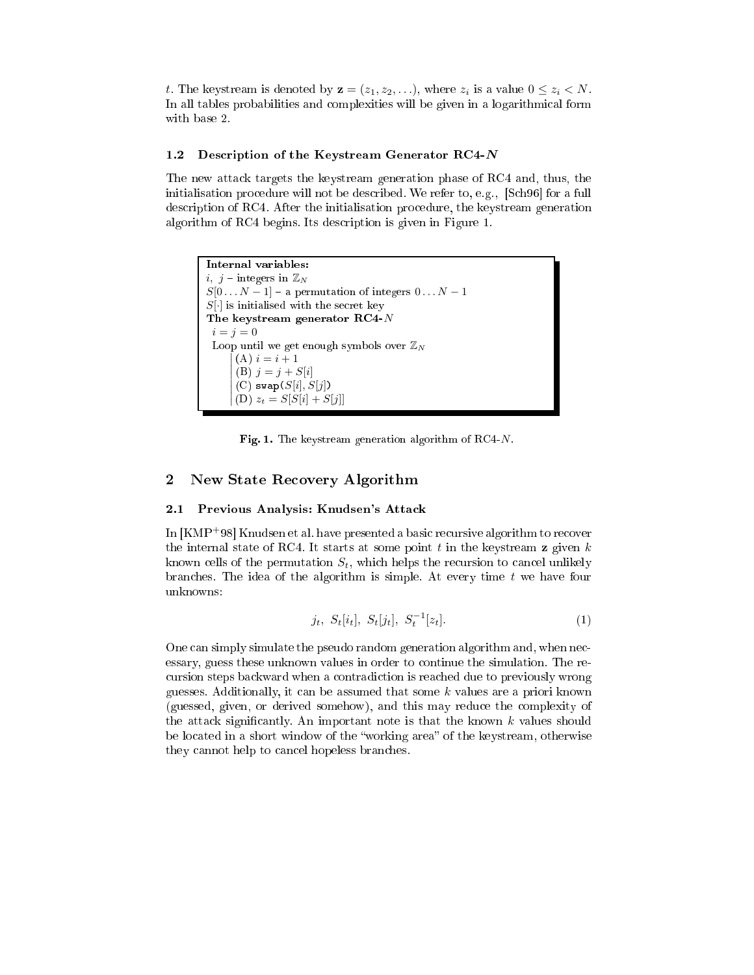t. The keystream is denoted by  $\mathbf{z} = (z_1, z_2, \ldots)$ , where  $z_i$  is a value  $0 \leq z_i < N$ . In all tables probabilities and complexities will be given in a logarithmical form with base 2.

## 1.2 Description of the Keystream Generator RC4- $N$

The new attack targets the keystream generation phase of RC4 and, thus, the initialisation procedure will not be described. We refer to, e.g., [Sch96] for a full description of RC4. After the initialisation procedure, the keystream generation algorithm of RC4 begins. Its description is given in Figure 1.

Internal variables:  $i, j$  – integers in  $\mathbb{Z}_N$  $S[0 \dots N-1]$  – a permutation of integers  $0 \dots N-1$  $S[\cdot]$  is initialised with the secret key The keystream generator RC4-N  $i = j = 0$ Loop until we get enough symbols over  $\mathbb{Z}_N$ I I I I I I I ļ  $(A) i = i + 1$ (B)  $j = j + S[i]$  $(C)$  swap $(S[i], S[j])$  $(D) z_t = S[S[i] + S[j]]$ 

Fig. 1. The keystream generation algorithm of RC4-N.

## 2 New State Recovery Algorithm

### 2.1 Previous Analysis: Knudsen's Attack

In [KMP+98] Knudsen et al. have presented a basic recursive algorithm to recover the internal state of RC4. It starts at some point  $t$  in the keystream  $z$  given  $k$ known cells of the permutation  $S_t$ , which helps the recursion to cancel unlikely branches. The idea of the algorithm is simple. At every time  $t$  we have four unknowns:

$$
j_t, S_t[i_t], S_t[j_t], S_t^{-1}[z_t].
$$
\n(1)

One can simply simulate the pseudo random generation algorithm and, when necessary, guess these unknown values in order to continue the simulation. The recursion steps backward when a contradiction is reached due to previously wrong guesses. Additionally, it can be assumed that some k values are a priori known (guessed, given, or derived somehow), and this may reduce the complexity of the attack significantly. An important note is that the known  $k$  values should be located in a short window of the "working area" of the keystream, otherwise they cannot help to cancel hopeless branches.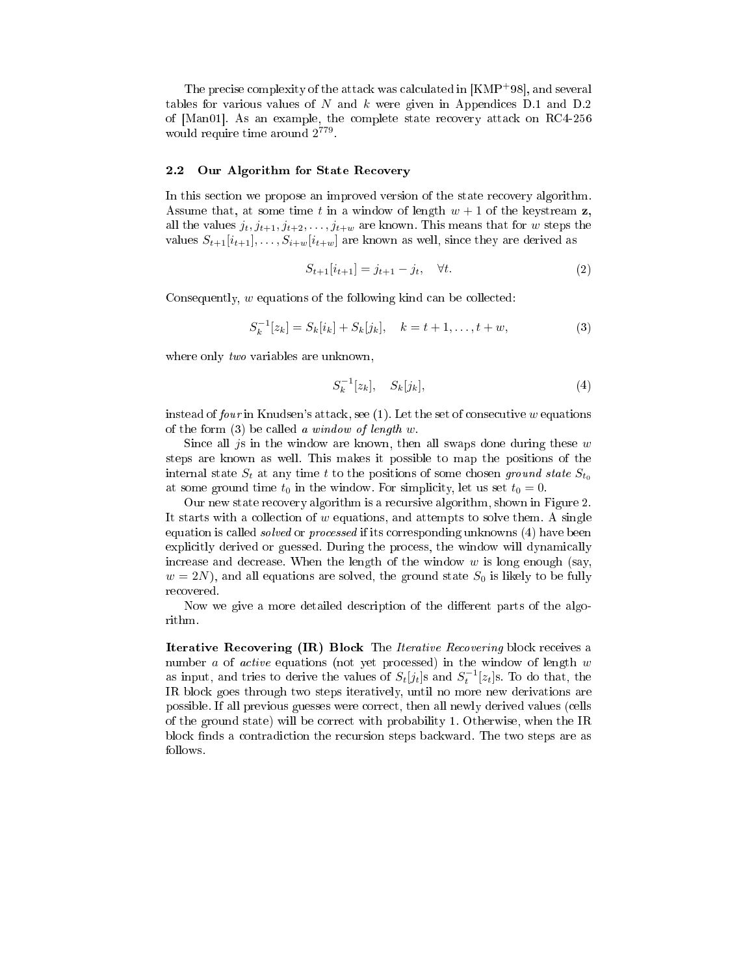The precise complexity of the attack was calculated in [KMP+98], and several tables for various values of N and k were given in Appendices D.1 and D.2 of [Man01]. As an example, the complete state recovery attack on RC4-256 would require time around  $2^{779}$ .

### 2.2 Our Algorithm for State Recovery

In this section we propose an improved version of the state recovery algorithm. Assume that, at some time t in a window of length  $w + 1$  of the keystream z. all the values  $j_t, j_{t+1}, j_{t+2}, \ldots, j_{t+w}$  are known. This means that for w steps the values  $S_{t+1}[i_{t+1}], \ldots, S_{i+w}[i_{t+w}]$  are known as well, since they are derived as

$$
S_{t+1}[i_{t+1}] = j_{t+1} - j_t, \quad \forall t.
$$
 (2)

Consequently, w equations of the following kind can be collected:

$$
S_k^{-1}[z_k] = S_k[i_k] + S_k[j_k], \quad k = t + 1, \dots, t + w,
$$
\n(3)

where only *two* variables are unknown.

$$
S_k^{-1}[z_k], \quad S_k[j_k], \tag{4}
$$

instead of four in Knudsen's attack, see  $(1)$ . Let the set of consecutive w equations of the form  $(3)$  be called a window of length w.

Since all js in the window are known, then all swaps done during these  $w$ steps are known as well. This makes it possible to map the positions of the internal state  $S_t$  at any time t to the positions of some chosen ground state  $S_{t_0}$ at some ground time  $t_0$  in the window. For simplicity, let us set  $t_0 = 0$ .

Our new state recovery algorithm is a recursive algorithm, shown in Figure 2. It starts with a collection of  $w$  equations, and attempts to solve them. A single equation is called *solved* or *processed* if its corresponding unknowns (4) have been explicitly derived or guessed. During the process, the window will dynamically increase and decrease. When the length of the window  $w$  is long enough (say,  $w = 2N$ , and all equations are solved, the ground state  $S_0$  is likely to be fully recovered.

Now we give a more detailed description of the different parts of the algorithm.

Iterative Recovering (IR) Block The Iterative Recovering block receives a number  $a$  of *active* equations (not yet processed) in the window of length  $w$ as input, and tries to derive the values of  $S_t[j_t]$ s and  $S_t^{-1}[z_t]$ s. To do that, the IR block goes through two steps iteratively, until no more new derivations are possible. If all previous guesses were correct, then all newly derived values (cells of the ground state) will be correct with probability 1. Otherwise, when the IR block finds a contradiction the recursion steps backward. The two steps are as follows.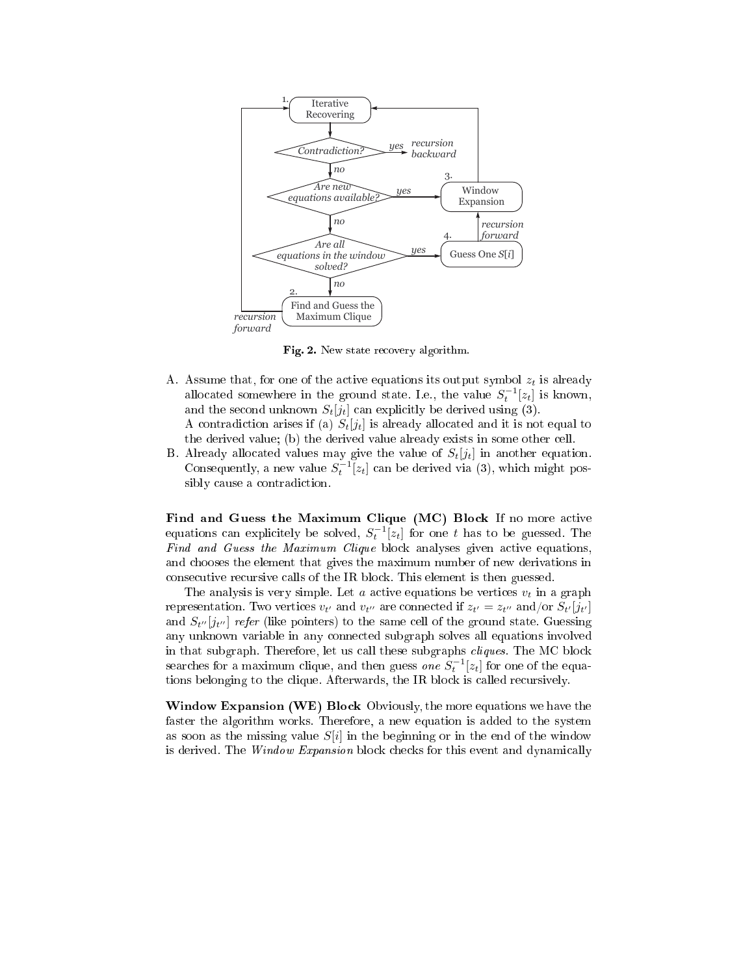

Fig. 2. New state recovery algorithm.

- A. Assume that, for one of the active equations its output symbol  $z_t$  is already allocated somewhere in the ground state. I.e., the value  $S_t^{-1}[z_t]$  is known, and the second unknown  $S_t[j_t]$  can explicitly be derived using (3). A contradiction arises if (a)  $S_t[j_t]$  is already allocated and it is not equal to the derived value; (b) the derived value already exists in some other cell.
- B. Already allocated values may give the value of  $S_t[j_t]$  in another equation. Consequently, a new value  $S_t^{-1}[z_t]$  can be derived via (3), which might possibly cause a contradiction.

Find and Guess the Maximum Clique (MC) Block If no more active equations can explicitely be solved,  $S_t^{-1}[z_t]$  for one t has to be guessed. The Find and Guess the Maximum Clique block analyses given active equations. and chooses the element that gives the maximum number of new derivations in consecutive recursive calls of the IR block. This element is then guessed.

The analysis is very simple. Let a active equations be vertices  $v_t$  in a graph representation. Two vertices  $v_{t'}$  and  $v_{t''}$  are connected if  $z_{t'} = z_{t''}$  and/or  $S_{t'}[j_{t'}]$ and  $S_{t''}[j_{t''}]$  refer (like pointers) to the same cell of the ground state. Guessing any unknown variable in any connected subgraph solves all equations involved in that subgraph. Therefore, let us call these subgraphs cliques. The MC block searches for a maximum clique, and then guess *one*  $S_t^{-1}[z_t]$  for one of the equations belonging to the clique. Afterwards, the IR block is called recursively.

Window Expansion (WE) Block Obviously, the more equations we have the faster the algorithm works. Therefore, a new equation is added to the system as soon as the missing value  $S[i]$  in the beginning or in the end of the window is derived. The *Window Expansion* block checks for this event and dynamically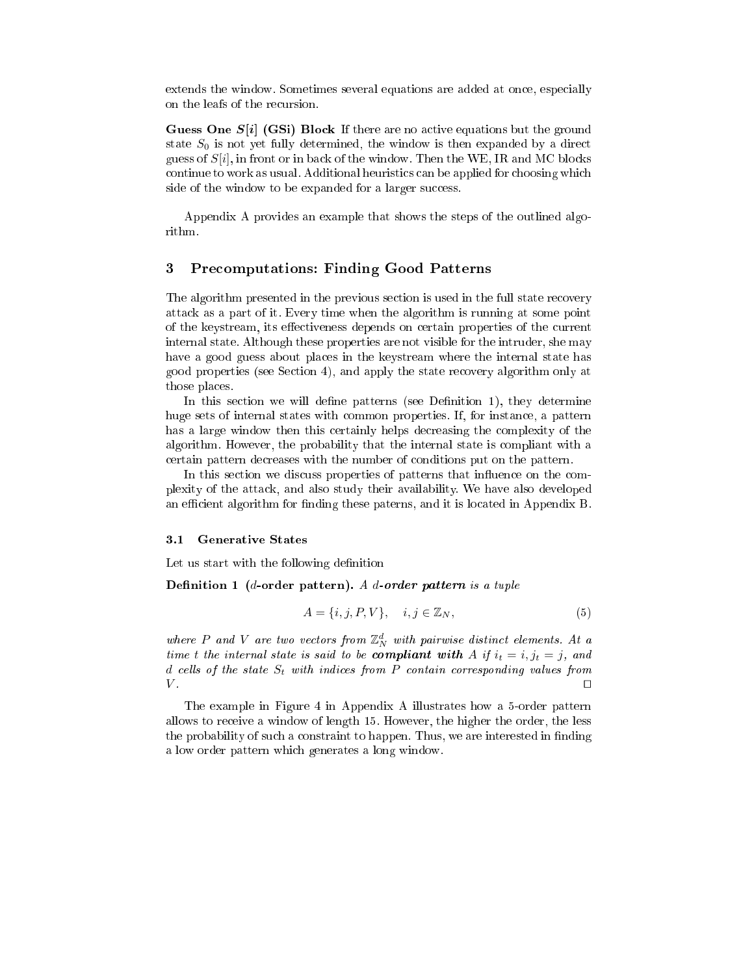extends the window. Sometimes several equations are added at once, especially on the leafs of the recursion.

Guess One  $S[i]$  (GSi) Block If there are no active equations but the ground state  $S_0$  is not yet fully determined, the window is then expanded by a direct guess of  $S[i]$ , in front or in back of the window. Then the WE, IR and MC blocks continue to work as usual. Additional heuristics can be applied for choosing which side of the window to be expanded for a larger success.

Appendix A provides an example that shows the steps of the outlined algorithm.

#### 3 3 Precomputations: Finding Good Patterns

The algorithm presented in the previous section is used in the full state recovery attack as a part of it. Every time when the algorithm is running at some point of the keystream, its effectiveness depends on certain properties of the current internal state. Although these properties are not visible for the intruder, she may have a good guess about places in the keystream where the internal state has good properties (see Section 4), and apply the state recovery algorithm only at those places.

In this section we will define patterns (see Definition 1), they determine huge sets of internal states with common properties. If, for instance, a pattern has a large window then this certainly helps decreasing the complexity of the algorithm. However, the probability that the internal state is compliant with a certain pattern decreases with the number of conditions put on the pattern.

In this section we discuss properties of patterns that influence on the complexity of the attack, and also study their availability. We have also developed an efficient algorithm for finding these paterns, and it is located in Appendix B.

### 3.1 Generative States

Let us start with the following definition

Definition 1 (*d*-order pattern). A *d*-order pattern is a tuple

$$
A = \{i, j, P, V\}, \quad i, j \in \mathbb{Z}_N,\tag{5}
$$

where  $P$  and  $V$  are two vectors from  $\mathbb{Z}_{N}^{d}$  with pairwise distinct elements. At a time t the internal state is said to be **compliant with** A if  $i_t = i, j_t = j$ , and d cells of the state  $S_t$  with indices from P contain corresponding values from  $V$ .  $V$  .  $\Box$ 

The example in Figure 4 in Appendix A illustrates how a 5-order pattern allows to receive a window of length 15. However, the higher the order, the less the probability of such a constraint to happen. Thus, we are interested in finding a low order pattern which generates a long window.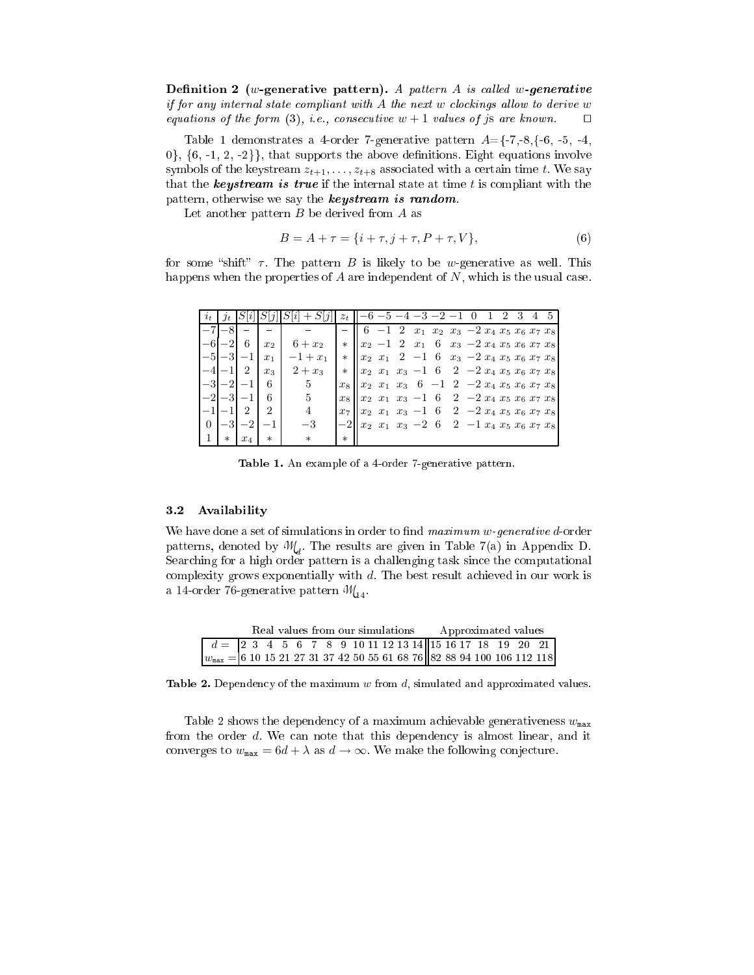Definition 2 (w-generative pattern). A pattern A is called w-generative if for any internal state compliant with  $A$  the next w clockings allow to derive w equations of the form (3), i.e., consecutive  $w + 1$  values of js are known.  $\square$ 

Table 1 demonstrates a 4-order 7-generative pattern  $A=\{-7,-8,\{-6,-5,-4,\}$  $0\},\{6,-1,2,-2\}\},\$  that supports the above definitions. Eight equations involve symbols of the keystream  $z_{t+1}, \ldots, z_{t+8}$  associated with a certain time t. We say that the **keystream is true** if the internal state at time t is compliant with the pattern, otherwise we say the **keystream is random**.

Let another pattern B be derived from A as

$$
B = A + \tau = \{i + \tau, j + \tau, P + \tau, V\},\tag{6}
$$

for some "shift"  $\tau$ . The pattern B is likely to be w-generative as well. This happens when the properties of  $A$  are independent of  $N$ , which is the usual case.

|          |       |       |                |            | $z_t$   |                                                                                                 | $-5 - 4 - 3 - 2$                                            |  |                                          |  | 4 | 5 <sup>5</sup> |
|----------|-------|-------|----------------|------------|---------|-------------------------------------------------------------------------------------------------|-------------------------------------------------------------|--|------------------------------------------|--|---|----------------|
|          |       |       |                |            |         |                                                                                                 | $-1$ 2 $x_1$ $x_2$ $x_3$ $-2$ $x_4$ $x_5$ $x_6$ $x_7$ $x_8$ |  |                                          |  |   |                |
|          |       | 6     | x <sub>2</sub> | $6 + x_2$  | $\ast$  | $x_2 - 1$ 2                                                                                     | $x_1$                                                       |  | 6 $x_3$ -2 $x_4$ $x_5$ $x_6$ $x_7$ $x_8$ |  |   |                |
|          | $-3$  |       | $x_1$          | $-1 + x_1$ | $\ast$  | $x_2$ $x_1$ 2 $-1$                                                                              |                                                             |  | 6 $x_3$ -2 $x_4$ $x_5$ $x_6$ $x_7$ $x_8$ |  |   |                |
|          |       |       | $x_3$          | $2 + x_3$  | $\ast$  | $x_2$ $x_1$ $x_3$ $-1$ 6                                                                        |                                                             |  | $2 - 2 x_4 x_5 x_6 x_7 x_8$              |  |   |                |
|          |       |       | 6              | 5          | $x_8$   | $x_2$ $x_1$ $x_3$                                                                               | $6 -1 2 -2 x_4 x_5 x_6 x_7 x_8$                             |  |                                          |  |   |                |
|          | $-3.$ |       | 6              | 5          | $x_{8}$ | $x_2$ $x_1$ $x_3$ $-1$ 6                                                                        |                                                             |  | $2 -2 x_4 x_5 x_6 x_7 x_8$               |  |   |                |
|          |       |       | $\overline{2}$ | 4          | $x_7$   | $x_2$ $x_1$ $x_3$ $-1$ 6                                                                        |                                                             |  | $2 -2 x_4 x_5 x_6 x_7 x_8$               |  |   |                |
| $\theta$ |       | -2    | $-1$           | $^{-3}$    | $-2$    | $\begin{vmatrix} x_2 & x_1 & x_3 & -2 & 6 & 2 & -1 & x_4 & x_5 & x_6 & x_7 & x_8 \end{vmatrix}$ |                                                             |  |                                          |  |   |                |
|          |       | $x_4$ | $\ast$         | $\ast$     | $\ast$  |                                                                                                 |                                                             |  |                                          |  |   |                |

Table 1. An example of a 4-order 7-generative pattern.

### 3.2 Availability

We have done a set of simulations in order to find  $maximum\ w\$  generative d-order patterns, denoted by  $M_d$ . The results are given in Table 7(a) in Appendix D. Searching for a high order pattern is a challenging task since the computational complexity grows exponentially with d. The best result achieved in our work is a 14-order 76-generative pattern  $\mathcal{M}_{14}$ .

|                                                                                                                               | Real values from our simulations |  |  |  |  |  |  |  |  |  |  | Approximated values |  |  |  |  |
|-------------------------------------------------------------------------------------------------------------------------------|----------------------------------|--|--|--|--|--|--|--|--|--|--|---------------------|--|--|--|--|
| $d = \begin{bmatrix} 2 & 3 & 4 & 5 & 6 & 7 & 8 & 9 & 10 & 11 & 12 & 13 & 14 & 15 & 16 & 17 & 18 & 19 & 20 & 21 \end{bmatrix}$ |                                  |  |  |  |  |  |  |  |  |  |  |                     |  |  |  |  |
| $w_{\text{max}} = 6$ 10 15 21 27 31 37 42 50 55 61 68 76 82 88 94 100 106 112 118                                             |                                  |  |  |  |  |  |  |  |  |  |  |                     |  |  |  |  |

Table 2. Dependency of the maximum  $w$  from  $d$ , simulated and approximated values.

Table 2 shows the dependency of a maximum achievable generativeness  $w_{\text{max}}$ from the order d. We can note that this dependency is almost linear, and it converges to  $w_{\text{max}} = 6d + \lambda$  as  $d \to \infty$ . We make the following conjecture.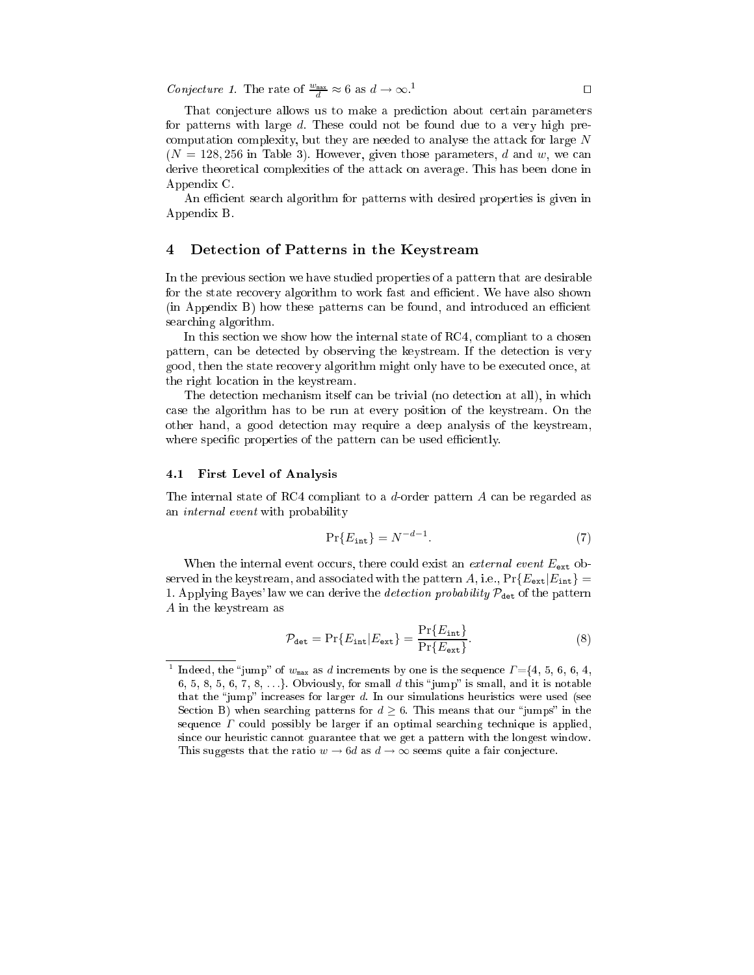Conjecture 1. The rate of  $\frac{w_{\text{max}}}{d} \approx 6$  as  $d \to \infty$ .<sup>1</sup>

That conjecture allows us to make a prediction about certain parameters for patterns with large d. These could not be found due to a very high precomputation complexity, but they are needed to analyse the attack for large  $N$  $(N = 128, 256$  in Table 3). However, given those parameters, d and w, we can derive theoretical complexities of the attack on average. This has been done in Appendix C.

An efficient search algorithm for patterns with desired properties is given in Appendix B.

## 4 Detection of Patterns in the Keystream

In the previous section we have studied properties of a pattern that are desirable for the state recovery algorithm to work fast and efficient. We have also shown (in Appendix B) how these patterns can be found, and introduced an efficient searching algorithm.

In this section we show how the internal state of RC4, compliant to a chosen pattern, can be detected by observing the keystream. If the detection is very good, then the state recovery algorithm might only have to be executed once, at the right location in the keystream.

The detection mechanism itself can be trivial (no detection at all), in which case the algorithm has to be run at every position of the keystream. On the other hand, a good detection may require a deep analysis of the keystream, where specific properties of the pattern can be used efficiently.

## 4.1 First Level of Analysis

The internal state of RC4 compliant to <sup>a</sup> d-order pattern A can be regarded as an internal event with probability

$$
\Pr\{E_{\text{int}}\} = N^{-d-1}.\tag{7}
$$

When the internal event occurs, there could exist an *external event*  $E_{\text{ext}}$  observed in the keystream, and associated with the pattern A, i.e.,  $Pr{E_{ext}|E_{int}}$  = 1. Applying Bayes' law we can derive the *detection probability*  $P_{\text{det}}$  of the pattern A in the keystream as

$$
\mathcal{P}_{\text{det}} = \Pr\{E_{\text{int}} | E_{\text{ext}}\} = \frac{\Pr\{E_{\text{int}}\}}{\Pr\{E_{\text{ext}}\}}.
$$
\n(8)

<sup>-</sup>Indeed, the "jump" of  $w_{\text{max}}$  as d increments by one is the sequence  $\Gamma = \{4, 5, 6, 6, 4,$ 6, 5, 8, 5, 6, 7, 8, ...}. Obviously, for small  $d$  this "jump" is small, and it is notable that the "jump" increases for larger  $d$ . In our simulations heuristics were used (see Section B) when searching patterns for  $d \geq 6$ . This means that our "jumps" in the sequence  $\Gamma$  could possibly be larger if an optimal searching technique is applied, since our heuristic cannot guarantee that we get a pattern with the longest window. This suggests that the ratio  $w \to 6d$  as  $d \to \infty$  seems quite a fair conjecture.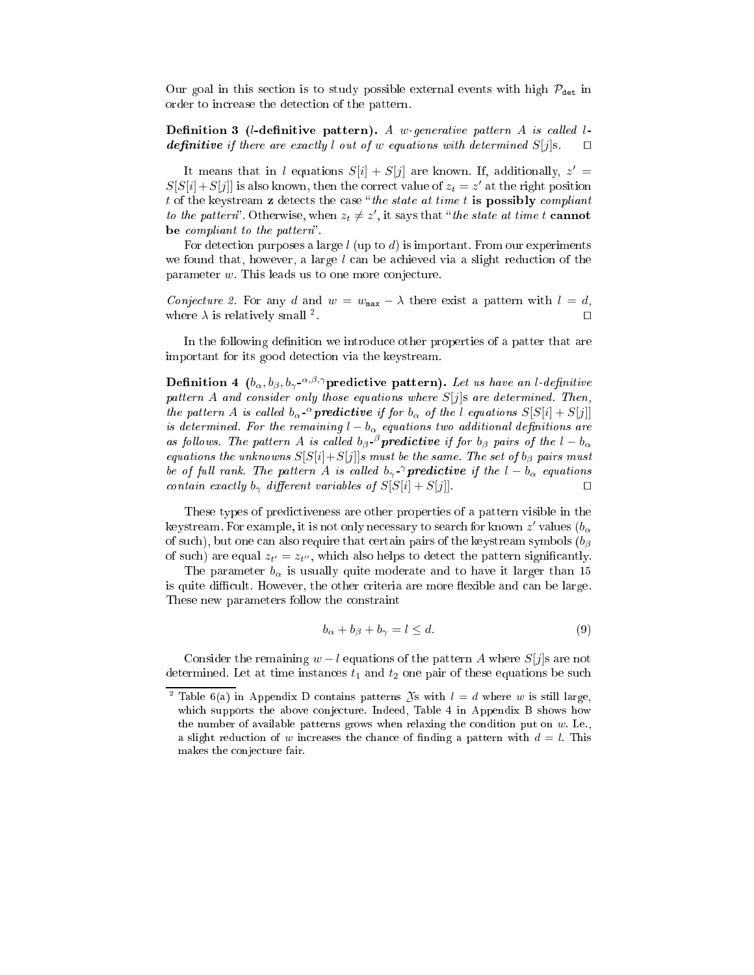Our goal in this section is to study possible external events with high  $\mathcal{P}_{\text{det}}$  in order to increase the detection of the pattern.

**Definition 3** (*l*-definitive pattern). A w-generative pattern A is called *l***definitive** if there are exactly l out of w equations with determined  $S[j]$ s.  $\Box$ 

It means that in l equations  $S[i] + S[j]$  are known. If, additionally,  $z' =$  $S[S[i] + S[j]]$  is also known, then the correct value of  $z_t = z'$  at the right position t of the keystream  $z$  detects the case "the state at time t is possibly compliant to the pattern". Otherwise, when  $z_t \neq z'$ , it says that "the state at time t cannot be compliant to the pattern".

For detection purposes a large  $l$  (up to  $d$ ) is important. From our experiments we found that, however, a large  $l$  can be achieved via a slight reduction of the parameter w. This leads us to one more conjecture.

Conjecture 2. For any d and  $w = w_{max} - \lambda$  there exist a pattern with  $l = d$ , where  $\lambda$  is relatively small <sup>2</sup>. □ where  $\lambda$  is relatively small <sup>2</sup>. . Utilization of the contract of the contract of the contract of the contract of the contract of the contract o<br>The contract of the contract of the contract of the contract of the contract of the contract of the contract o

In the following definition we introduce other properties of a patter that are important for its good detection via the keystream.

**Definition 4**  $(b_{\alpha}, b_{\beta}, b_{\gamma}e^{-\alpha_{\beta}, \gamma})$ **predictive pattern).** Let us have an l-definitive pattern A and consider only those equations where  $S[j]$ s are determined. Then, the pattern A is called  $b_{\alpha}$ - $\alpha$  predictive if for  $b_{\alpha}$  of the l equations  $S[S[i] + S[j]]$ is determined. For the remaining  $l - b_{\alpha}$  equations two additional definitions are as follows. The pattern A is called  $b_\beta$  <sup>β</sup> predictive if for  $b_\beta$  pairs of the  $l - b_\alpha$ equations the unknowns  $S[S[i]+S[j]]s$  must be the same. The set of  $b_{\beta}$  pairs must be of full rank. The pattern A is called  $b_{\gamma}$   $\gamma$  **predictive** if the  $l - b_{\alpha}$  equations contain exactly  $b_{\gamma}$  different variables of  $S[S[i] + S[j]]$ .

These types of predictiveness are other properties of a pattern visible in the keystream. For example, it is not only necessary to search for known  $z'$  values  $(b_\alpha$ of such), but one can also require that certain pairs of the keystream symbols  $(b_{\beta})$ of such) are equal  $z_{t'} = z_{t''}$ , which also helps to detect the pattern significantly.

The parameter  $b_{\alpha}$  is usually quite moderate and to have it larger than 15 is quite difficult. However, the other criteria are more flexible and can be large. These new parameters follow the constraint

$$
b_{\alpha} + b_{\beta} + b_{\gamma} = l \leq d. \tag{9}
$$

Consider the remaining  $w - l$  equations of the pattern A where  $S[j]$ s are not determined. Let at time instances  $t_1$  and  $t_2$  one pair of these equations be such

<sup>&</sup>lt;sup>2</sup> Table 6(a) in Appendix D contains patterns  $\mathfrak{X}$ s with  $l = d$  where w is still large, which supports the above conjecture. Indeed, Table 4 in Appendix B shows how the number of available patterns grows when relaxing the condition put on  $w$ . I.e., a slight reduction of w increases the chance of finding a pattern with  $d = l$ . This makes the conjecture fair.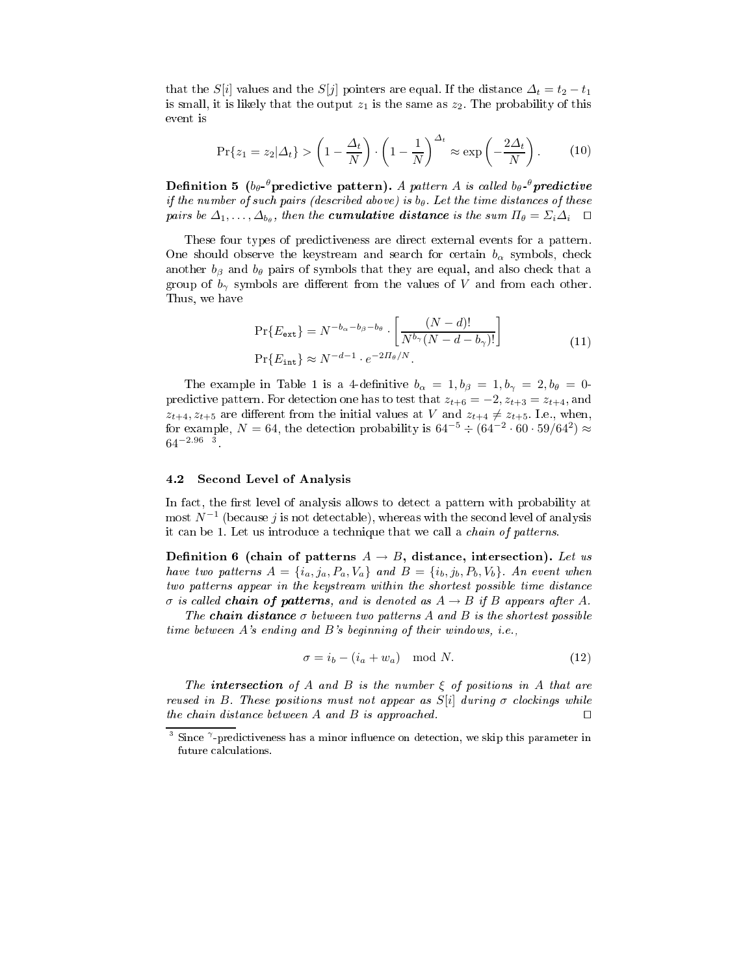that the S[i] values and the S[j] pointers are equal. If the distance  $\Delta_t = t_2 - t_1$ is small, it is likely that the output  $z_1$  is the same as  $z_2$ . The probability of this event is

$$
\Pr\{z_1 = z_2 | \Delta_t\} > \left(1 - \frac{\Delta_t}{N}\right) \cdot \left(1 - \frac{1}{N}\right)^{\Delta_t} \approx \exp\left(-\frac{2\Delta_t}{N}\right). \tag{10}
$$

Definition 5 (b<sub>θ</sub>- $^\theta$ predictive pattern). A pattern A is called b<sub>θ</sub>- $^\theta$ predictive if the number of such pairs (described above) is  $b_{\theta}$ . Let the time distances of these pairs be  $\Delta_1,\ldots,\Delta_{b_\theta},$  then the **cumulative distance** is the sum  $\Pi_\theta=\Sigma_i\Delta_i$   $\Box$ 

These four types of predictiveness are direct external events for a pattern. One should observe the keystream and search for certain  $b_{\alpha}$  symbols, check another  $b_{\beta}$  and  $b_{\theta}$  pairs of symbols that they are equal, and also check that a group of  $b_{\gamma}$  symbols are different from the values of V and from each other. Thus, we have

$$
\Pr\{E_{\text{ext}}\} = N^{-b_{\alpha} - b_{\beta} - b_{\theta}} \cdot \left[\frac{(N - d)!}{N^{b_{\gamma}}(N - d - b_{\gamma})!}\right]
$$
\n
$$
\Pr\{E_{\text{int}}\} \approx N^{-d - 1} \cdot e^{-2\pi/ N}.
$$
\n(11)

The example in Table 1 is a 4-definitive  $b_{\alpha} = 1, b_{\beta} = 1, b_{\gamma} = 2, b_{\theta} = 0$ predictive pattern. For detection one has to test that  $z_{t+6} = -2$ ,  $z_{t+3} = z_{t+4}$ , and  $z_{t+4}, z_{t+5}$  are different from the initial values at V and  $z_{t+4} \neq z_{t+5}$ . I.e., when, for example,  $N = 64$ , the detection probability is  $64^{-5} \div (64^{-2} \cdot 60 \cdot 59/64^2) \approx$  $64^{-2.96}$  3

### 4.2 Second Level of Analysis

In fact, the first level of analysis allows to detect a pattern with probability at  $\operatorname{most}~ N^{-1}$  (because  $j$  is not detectable), whereas with the second level of analysis it can be 1. Let us introduce a technique that we call a *chain of patterns*.

Definition 6 (chain of patterns  $A \rightarrow B$ , distance, intersection). Let us have two patterns  $A = \{i_a, j_a, P_a, V_a\}$  and  $B = \{i_b, j_b, P_b, V_b\}$ . An event when two patterns appear in the keystream within the shortest possible time distance  $\sigma$  is called **chain of patterns**, and is denoted as  $A \rightarrow B$  if B appears after A.

The chain distance  $\sigma$  between two patterns A and B is the shortest possible time between A's ending and B's beginning of their windows, i.e.,

$$
\sigma = i_b - (i_a + w_a) \mod N. \tag{12}
$$

The **intersection** of A and B is the number  $\xi$  of positions in A that are reused in B. These positions must not appear as  $S[i]$  during  $\sigma$  clockings while the chain distance between A and B is approached.  $\square$ 

Since  $\gamma$ -predictiveness has a minor influence on detection, we skip this parameter in future calculations.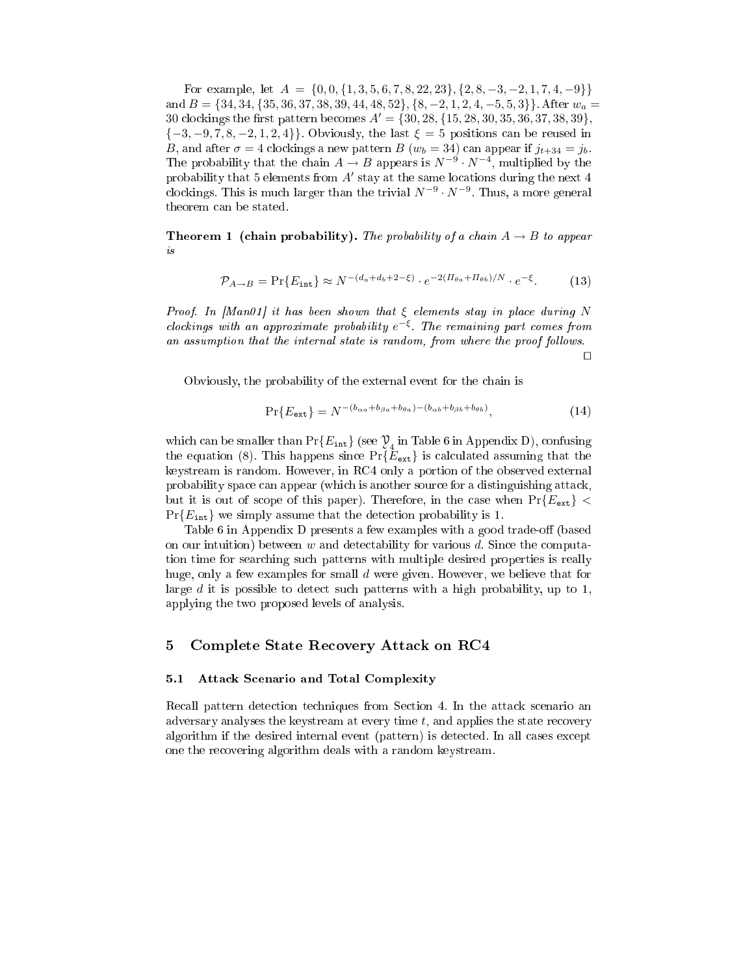For example, let  $A = \{0, 0, \{1, 3, 5, 6, 7, 8, 22, 23\}, \{2, 8, -3, -2, 1, 7, 4, -9\}\}\$ and  $B = \{34, 34, 35, 36, 37, 38, 39, 44, 48, 52\}, \{8, -2, 1, 2, 4, -5, 5, 3\}\}\.$  After  $w_a =$ 30 clockings the first pattern becomes  $A' = \{30, 28, \{15, 28, 30, 35, 36, 37, 38, 39\},\}$  ${-3, -9, 7, 8, -2, 1, 2, 4}$ . Obviously, the last  $\xi = 5$  positions can be reused in B, and after  $\sigma = 4$  clockings a new pattern B ( $w_b = 34$ ) can appear if  $j_{t+34} = j_b$ . The probability that the chain  $A \to B$  appears is  $N^{-9} \cdot N^{-4}$ , multiplied by the probability that 5 elements from  $A'$  stay at the same locations during the next 4 clockings. This is much larger than the trivial  $N^{-9} \cdot N^{-9}$ . Thus, a more general theorem can be stated.

**Theorem 1 (chain probability).** The probability of a chain  $A \rightarrow B$  to appear is

$$
\mathcal{P}_{A \to B} = \Pr\{E_{\text{int}}\} \approx N^{-(d_a + d_b + 2 - \xi)} \cdot e^{-2(H_{\theta a} + H_{\theta b})/N} \cdot e^{-\xi}.
$$
 (13)

Proof. In [Man01] it has been shown that  $\xi$  elements stay in place during N clockings with an approximate probability  $e^{-\xi}$ . The remaining part comes from an assumption that the internal state is random, from where the proof follows.

 $\Box$ 

Obviously, the probability of the external event for the chain is

$$
\Pr\{E_{\text{ext}}\} = N^{-(b_{\alpha a} + b_{\beta a} + b_{\theta a}) - (b_{\alpha b} + b_{\beta b} + b_{\theta b})},\tag{14}
$$

which can be smaller than  $Pr{E_{\text{int}}}$  (see  $\mathcal{Y}_4$  in Table 6 in Appendix D), confusing the equation (8). This happens since  $Pr{\{\overline{E}_{ext}\}}$  is calculated assuming that the keystream is random. However, in RC4 only a portion of the observed external probability space can appear (which is another source for a distinguishing attack, but it is out of scope of this paper). Therefore, in the case when  $Pr{E_{ext}}$  <  $Pr{E_{\text{int}}}$  we simply assume that the detection probability is 1.

Table 6 in Appendix D presents a few examples with a good trade-off (based on our intuition) between w and detectability for various d. Since the computation time for searching such patterns with multiple desired properties is really huge, only a few examples for small d were given. However, we believe that for large  $d$  it is possible to detect such patterns with a high probability, up to 1, applying the two proposed levels of analysis.

#### 5 Complete State Recovery Attack on RC4 5

### 5.1 Attack Scenario and Total Complexity

Recall pattern detection techniques from Section 4. In the attack scenario an adversary analyses the keystream at every time t, and applies the state recovery algorithm if the desired internal event (pattern) is detected. In all cases except one the recovering algorithm deals with a random keystream.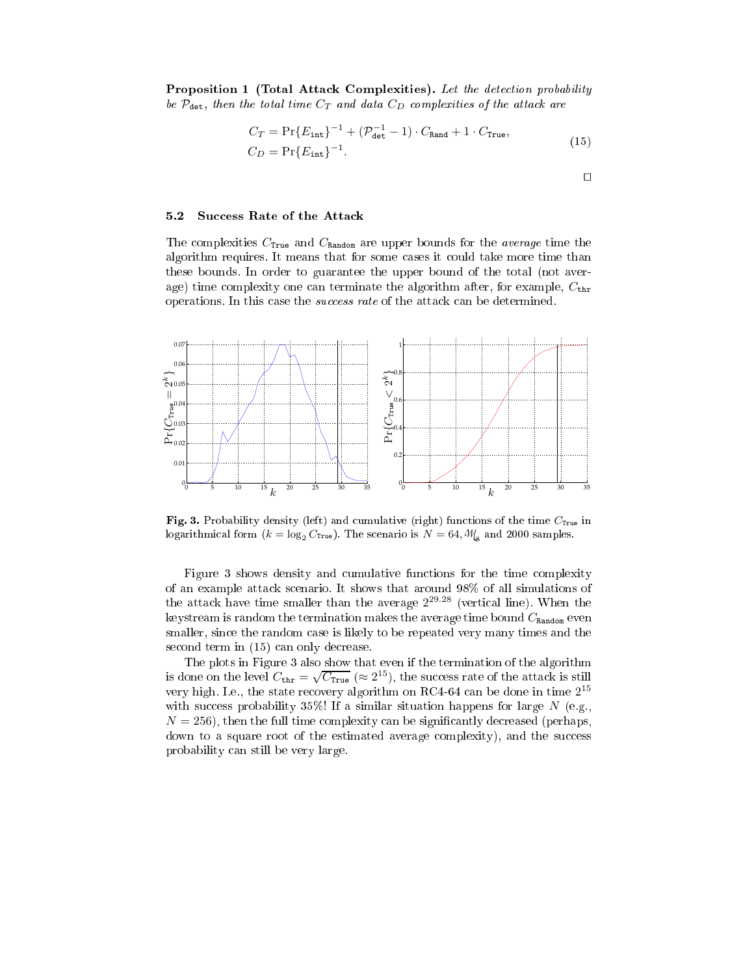Proposition 1 (Total Attack Complexities). Let the detection probability be  $P_{\text{det}}$ , then the total time  $C_T$  and data  $C_D$  complexities of the attack are

$$
C_T = \Pr{E_{\text{int}}\}^{-1} + (\mathcal{P}_{\text{det}}^{-1} - 1) \cdot C_{\text{Rand}} + 1 \cdot C_{\text{True}},
$$
  
\n
$$
C_D = \Pr{E_{\text{int}}\}^{-1}.
$$
\n(15)

 $\Box$ 

## 5.2 Success Rate of the Attack

The complexities  $C_{\text{True}}$  and  $C_{\text{Random}}$  are upper bounds for the *average* time the algorithm requires. It means that for some cases it could take more time than these bounds. In order to guarantee the upper bound of the total (not average) time complexity one can terminate the algorithm after, for example,  $C_{\text{thr}}$ operations. In this case the success rate of the attack can be determined.



Fig. 3. Probability density (left) and cumulative (right) functions of the time  $C_{\text{True}}$  in logarithmical form  $(k = \log_2 C_{\text{True}})$ . The scenario is  $N = 64, \mathcal{W}_{\text{g}}$  and 2000 samples.

Figure 3 shows density and cumulative functions for the time complexity of an example attack scenario. It shows that around 98% of all simulations of the attack have time smaller than the average  $2^{29.28}$  (vertical line). When the keystream is random the termination makes the average time bound  $C_{\text{Random}}$  even smaller, since the random case is likely to be repeated very many times and the second term in (15) can only decrease.

The plots in Figure 3 also show that even if the termination of the algorithm is done on the level  $C_{\text{thr}} = \sqrt{C_{\text{True}}}$  ( $\approx 2^{15}$ ), the success rate of the attack is still very high. I.e., the state recovery algorithm on RC4-64 can be done in time  $2^{15}$ with success probability 35%! If a similar situation happens for large  $N$  (e.g.,  $N = 256$ , then the full time complexity can be significantly decreased (perhaps, down to a square root of the estimated average complexity), and the success probability can still be very large.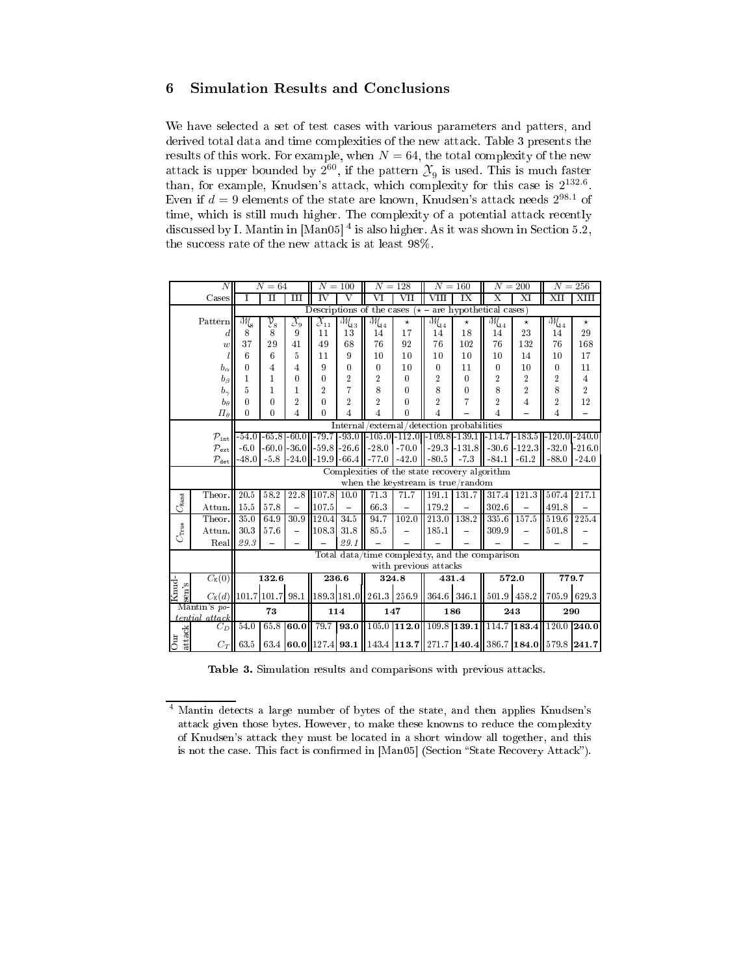## 6 Simulation Results and Conclusions

We have selected a set of test cases with various parameters and patters, and derived total data and time complexities of the new attack. Table 3 presents the results of this work. For example, when  $N=64,$  the total complexity of the new attack is upper bounded by  $2^{60}$ , if the pattern  $\mathcal{X}_9$  is used. This is much faster than, for example, Knudsen's attack, which complexity for this case is  $2^{132.6}$ . Even if  $d=9$  elements of the state are known, Knudsen's attack needs  $2^{98.1}$  of time, which is still much higher. The complexity of a potential attack recently discussed by I. Mantin in [Man05] 4 is also higher. As it was shown in Section 5.2, the success rate of the new attack is at least 98%.

|                                                    | $\overline{N}$                      |                                                                                                           | $N=64$           |                          |                               | $N = 100$                                 | $N = 128$                 |                       |                                           | $N = 160$                                                               |                           | $N = 200$      |                                                                                                                                                   | $N = 256$        |  |
|----------------------------------------------------|-------------------------------------|-----------------------------------------------------------------------------------------------------------|------------------|--------------------------|-------------------------------|-------------------------------------------|---------------------------|-----------------------|-------------------------------------------|-------------------------------------------------------------------------|---------------------------|----------------|---------------------------------------------------------------------------------------------------------------------------------------------------|------------------|--|
|                                                    | Cases                               | T                                                                                                         | $_{\rm II}$      | Ш                        | $\overline{\rm \textbf{v}}$   | V                                         | $_{\rm VI}$               | $_{\rm{VII}}$         | VIII                                      | ĪΧ                                                                      | $\overline{\mathrm{x}}$   | ΧI             | XII                                                                                                                                               | XIII             |  |
|                                                    |                                     |                                                                                                           |                  |                          |                               |                                           |                           |                       |                                           | Descriptions of the cases ( $\star$ – are hypothetical cases)           |                           |                |                                                                                                                                                   |                  |  |
|                                                    | Pattern                             | Ms                                                                                                        | $\mathfrak{Y}_8$ | $\mathcal{X}_9$          | $\overline{\mathcal{X}}_{11}$ | $\overline{\mathit{W}}_{\!\!\mathit{43}}$ |                           | $^\star$              | $\overline{\mathit{W}}_{\!\!\mathit{14}}$ | $^\star$                                                                | $\sqrt{\mathcal{W}}_{14}$ | $^\star$       | $\overline{\mathcal{M}}_{14}$                                                                                                                     | $\star$          |  |
|                                                    | d                                   | 8                                                                                                         | 8                | 9                        | 11                            | 13                                        | 14                        | 17                    | 14                                        | 18                                                                      | 14                        | 23             | 14                                                                                                                                                | 29               |  |
|                                                    | $\boldsymbol{w}$                    | 37                                                                                                        | 29               | 41                       | 49                            | 68                                        | 76                        | 92                    | 76                                        | 102                                                                     | 76                        | 132            | 76                                                                                                                                                | 168              |  |
|                                                    |                                     | 6                                                                                                         | 6                | $\overline{5}$           | 11                            | 9                                         | 10                        | 10                    | 10                                        | 10                                                                      | 10                        | 14             | 10                                                                                                                                                | 17               |  |
|                                                    | $b_{\alpha}$                        | 0                                                                                                         | 4                | 4                        | 9                             | $\mathbf{0}$                              | 0                         | 10                    | $\bf{0}$                                  | 11                                                                      | $\mathbf{0}$              | 10             | $\mathbf{0}$                                                                                                                                      | 11               |  |
|                                                    | $b_{\beta}$                         | 1                                                                                                         | 1                | $\bf{0}$                 | $\mathbf{0}$                  | $\overline{2}$                            | $\overline{2}$            | $\mathbf{0}$          | $\overline{2}$                            | $\bf{0}$                                                                | $\overline{2}$            | $\overline{2}$ | $\overline{2}$                                                                                                                                    | $\overline{4}$   |  |
|                                                    | $b_{\gamma}$                        | 5                                                                                                         | 1                | 1                        | $\overline{2}$                | 7                                         | 8                         | $\mathbf{0}$          | 8                                         | 0                                                                       | 8                         | $\overline{2}$ | 8                                                                                                                                                 | $\boldsymbol{2}$ |  |
|                                                    | $b_{\theta}$                        | 0                                                                                                         | 0                | $\overline{2}$           | $\mathbf{0}$                  | $\overline{2}$                            | $\overline{2}$            | 0                     | $\overline{2}$                            | 7                                                                       | $\overline{2}$            | 4              | $\overline{2}$                                                                                                                                    | 12               |  |
|                                                    | $\Pi_{\theta}$                      | 0                                                                                                         | 0                | $\overline{4}$           | $\mathbf{0}$                  | $\overline{4}$                            | 4                         | $\mathbf{0}$          | 4                                         |                                                                         | 4                         |                | $\overline{4}$                                                                                                                                    |                  |  |
|                                                    |                                     | Internal/external/detection probabilities<br>$-79.7$ $-93.0$ $-105.0$ $-112.0$ $-109.8$ $-139.1$ $-114.7$ |                  |                          |                               |                                           |                           |                       |                                           |                                                                         |                           |                |                                                                                                                                                   |                  |  |
|                                                    | $\mathcal{P}_{\mathtt{int}}$        | $-54.0$                                                                                                   | $-65.8$          | $-60.0$                  |                               |                                           |                           |                       |                                           |                                                                         |                           | $-183.5$       | $-120.0 - 240.0$                                                                                                                                  |                  |  |
|                                                    | $\mathcal{P}_{\textrm{\tiny ext.}}$ | $-6.0$                                                                                                    | $-60.0$          | $-36.0$                  |                               | $-59.8 - 26.6$                            | $-28.0$                   | $-70.0$               | $-29.3$                                   | $-131.8$ $-30.6$                                                        |                           | $-122.3$       | $-32.0$                                                                                                                                           | $-216.0$         |  |
|                                                    | $\mathcal{P}_{\texttt{det}}$        | $-48.0$                                                                                                   | $-5.8$           | $-24.0$                  |                               | $-19.9 - 66.4$                            | $-77.0$                   | $-42.0$               | $-80.5$                                   | $-7.3$                                                                  | $-84.1$                   | $-61.2$        | $-88.0$                                                                                                                                           | $-24.0$          |  |
|                                                    |                                     |                                                                                                           |                  |                          |                               |                                           |                           |                       |                                           | Complexities of the state recovery algorithm                            |                           |                |                                                                                                                                                   |                  |  |
|                                                    |                                     |                                                                                                           |                  |                          |                               |                                           |                           |                       |                                           | when the keystream is true/random                                       |                           |                |                                                                                                                                                   |                  |  |
|                                                    | Theor.                              | 20.5                                                                                                      | 58.2             | 22.8                     | 107.8                         | 10.0                                      | 71.3                      | 71.7                  | 191.1                                     | 131.7                                                                   | 317.4                     | 121.3          | 507.4                                                                                                                                             | 217.1            |  |
| $C_{\tt Rand}$                                     | Attun.                              | 15.5                                                                                                      | $57.8\,$         | $\equiv$                 | 107.5                         | $\equiv$                                  | 66.3                      |                       | 179.2                                     |                                                                         | 302.6                     |                | 491.8                                                                                                                                             |                  |  |
|                                                    | Theor.                              | 35.0                                                                                                      | 64.9             | 30.9                     | 120.4                         | 34.5                                      | 94.7                      | 102.0                 | 213.0                                     | 138.2                                                                   | 335.6                     | 157.5          | 519.6                                                                                                                                             | 225.4            |  |
| $C_{\text{true}}$                                  | Attun.                              | 30.3                                                                                                      | 57.6             | $\overline{\phantom{0}}$ | 108.3                         | 31.8                                      | 85.5                      |                       | 185.1                                     |                                                                         | 309.9                     |                | 501.8                                                                                                                                             |                  |  |
|                                                    | Real                                | 29.3                                                                                                      |                  |                          |                               | 29.1                                      |                           |                       |                                           |                                                                         |                           |                |                                                                                                                                                   |                  |  |
|                                                    |                                     |                                                                                                           |                  |                          |                               |                                           |                           |                       |                                           | Total data/time complexity, and the comparison                          |                           |                |                                                                                                                                                   |                  |  |
|                                                    |                                     |                                                                                                           |                  |                          |                               |                                           |                           | with previous attacks |                                           |                                                                         |                           |                |                                                                                                                                                   |                  |  |
|                                                    | $C_{\text{K}}(0)$                   |                                                                                                           | 132.6            |                          | 236.6                         |                                           | 324.8                     |                       |                                           | 431.4                                                                   |                           | 572.0          | 779.7                                                                                                                                             |                  |  |
| <b>Sund</b><br>$\sin^2\theta$<br>$C_{\text{K}}(d)$ |                                     | 101.7 101.7                                                                                               |                  |                          |                               |                                           |                           |                       |                                           | 98.1   189.3   181.0    261.3   256.9    364.6   346.1    501.9   458.2 |                           |                | 705.9 629.3                                                                                                                                       |                  |  |
|                                                    | Mantin's po-                        |                                                                                                           | 73               |                          |                               | 114                                       | 147                       |                       |                                           | 186                                                                     |                           | 243            | 290                                                                                                                                               |                  |  |
|                                                    | tential attack                      |                                                                                                           |                  |                          |                               |                                           |                           |                       |                                           |                                                                         |                           |                |                                                                                                                                                   |                  |  |
|                                                    | $C_D$                               | 54.0                                                                                                      | 65.8             |                          | 60.0 $\mid$ 79.7   93.0       |                                           | $105.0$ 112.0 109.8 139.1 |                       |                                           |                                                                         |                           | 114.7 183.4    | $120.0$ 240.0                                                                                                                                     |                  |  |
| attack<br>Our                                      | $C_T$                               | 63.5                                                                                                      |                  |                          |                               |                                           |                           |                       |                                           |                                                                         |                           |                | 63.4 $\mid$ 60.0 $\mid$ 127.4 $\mid$ 93.1 $\mid$ 143.4 $\mid$ 113.7 $\mid$ 271.7 $\mid$ 140.4 $\mid$ 386.7 $\mid$ 184.0 $\mid$ 579.8 $\mid$ 241.7 |                  |  |

Table 3. Simulation results and comparisons with previous attacks.

<sup>4</sup> Mantin detects a large number of bytes of the state, and then applies Knudsen's attack given those bytes. However, to make these knowns to reduce the complexity of Knudsen's attack they must be located in a short window all together, and this is not the case. This fact is confirmed in [Man05] (Section "State Recovery Attack").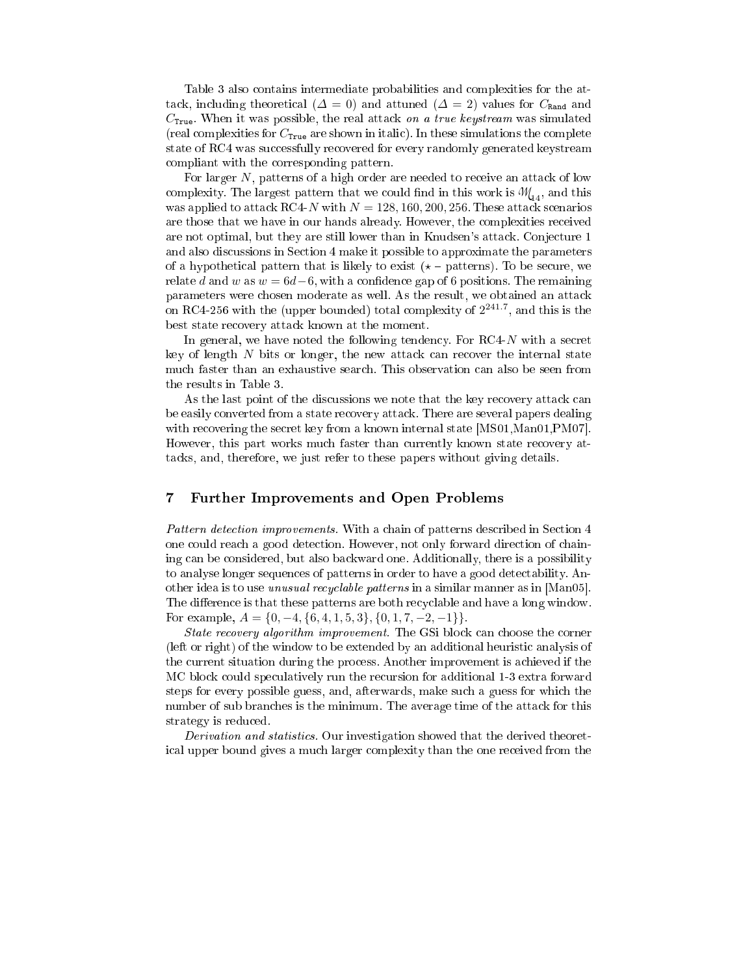Table 3 also contains intermediate probabilities and complexities for the attack, including theoretical ( $\Delta = 0$ ) and attuned ( $\Delta = 2$ ) values for  $C_{\text{Rand}}$  and  $C_{\text{True}}$ . When it was possible, the real attack on a true keystream was simulated (real complexities for  $C_{\text{True}}$  are shown in italic). In these simulations the complete state of RC4 was successfully recovered for every randomly generated keystream compliant with the corresponding pattern.

For larger N, patterns of a high order are needed to receive an attack of low complexity. The largest pattern that we could find in this work is  $M_{14}$ , and this was applied to attack RC4-N with  $N = 128, 160, 200, 256$ . These attack scenarios are those that we have in our hands already. However, the complexities received are not optimal, but they are still lower than in Knudsen's attack. Conjecture 1 and also discussions in Section 4 make it possible to approximate the parameters of a hypothetical pattern that is likely to exist  $(* - patterns)$ . To be secure, we relate d and w as  $w = 6d-6$ , with a confidence gap of 6 positions. The remaining parameters were chosen moderate as well. As the result, we obtained an attack on RC4-256 with the (upper bounded) total complexity of  $2^{241.7}$ , and this is the best state recovery attack known at the moment.

In general, we have noted the following tendency. For RC4-N with a secret key of length  $N$  bits or longer, the new attack can recover the internal state much faster than an exhaustive search. This observation can also be seen from the results in Table 3.

As the last point of the discussions we note that the key recovery attack can be easily converted from a state recovery attack. There are several papers dealing with recovering the secret key from a known internal state [MS01,Man01,PM07]. However, this part works much faster than currently known state recovery attacks, and, therefore, we just refer to these papers without giving details.

#### $\overline{7}$ Further Improvements and Open Problems

Pattern detection improvements. With a chain of patterns described in Section 4 one could reach a good detection. However, not only forward direction of chaining can be considered, but also backward one. Additionally, there is a possibility to analyse longer sequences of patterns in order to have a good detectability. Another idea is to use unusual recyclable patterns in a similar manner as in [Man05]. The difference is that these patterns are both recyclable and have a long window. For example,  $A = \{0, -4, \{6, 4, 1, 5, 3\}, \{0, 1, 7, -2, -1\}\}.$ 

State recovery algorithm improvement. The GSi block can choose the corner (left or right) of the window to be extended by an additional heuristic analysis of the current situation during the process. Another improvement is achieved if the MC block could speculatively run the recursion for additional 1-3 extra forward steps for every possible guess, and, afterwards, make such a guess for which the number of sub branches is the minimum. The average time of the attack for this strategy is reduced.

Derivation and statistics. Our investigation showed that the derived theoretical upper bound gives a much larger complexity than the one received from the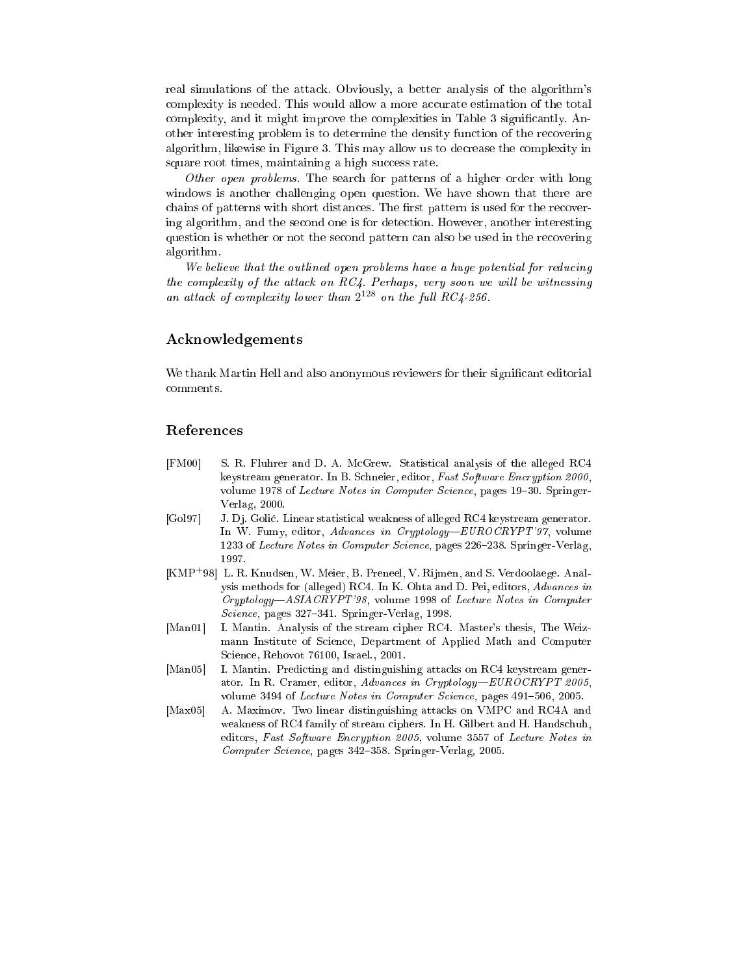real simulations of the attack. Obviously, a better analysis of the algorithm's complexity is needed. This would allow a more accurate estimation of the total complexity, and it might improve the complexities in Table 3 significantly. Another interesting problem is to determine the density function of the recovering algorithm, likewise in Figure 3. This may allow us to decrease the complexity in square root times, maintaining a high success rate.

Other open problems. The search for patterns of a higher order with long windows is another challenging open question. We have shown that there are chains of patterns with short distances. The first pattern is used for the recovering algorithm, and the second one is for detection. However, another interesting question is whether or not the second pattern can also be used in the recovering algorithm.

We believe that the outlined open problems have a huge potential for reducing the complexity of the attack on  $RC4$ . Perhaps, very soon we will be witnessing an attack of complexity lower than  $2^{128}$  on the full RC4-256.

## Acknowledgements

We thank Martin Hell and also anonymous reviewers for their significant editorial comments.

## References

- [FM00] S. R. Fluhrer and D. A. McGrew. Statistical analysis of the alleged RC4 keystream generator. In B. Schneier, editor, Fast Software Encryption 2000, volume 1978 of Lecture Notes in Computer Science, pages 19-30. Springer-Verlag, 2000.
- [Gol97] J. Dj. Goli¢. Linear statistical weakness of alleged RC4 keystream generator. In W. Fumy, editor, Advances in Cryptology—EUROCRYPT'97, volume 1233 of Lecture Notes in Computer Science, pages 226–238. Springer-Verlag, 1997
- [KMP+98] L. R. Knudsen, W. Meier, B. Preneel, V. Rijmen, and S. Verdoolaege. Analysis methods for (alleged) RC4. In K. Ohta and D. Pei, editors, Advances in  $Cryptology—ASIACRYPT'98$ , volume 1998 of Lecture Notes in Computer Science, pages 327–341. Springer-Verlag, 1998.
- [Man01] I. Mantin. Analysis of the stream cipher RC4. Master's thesis, The Weizmann Institute of Science, Department of Applied Math and Computer Science, Rehovot 76100, Israel., 2001.
- [Man05] I. Mantin. Predicting and distinguishing attacks on RC4 keystream generator. In R. Cramer, editor, Advances in Cryptology-EUROCRYPT 2005, volume 3494 of Lecture Notes in Computer Science, pages 491-506, 2005.
- [Max05] A. Maximov. Two linear distinguishing attacks on VMPC and RC4A and weakness of RC4 family of stream ciphers. In H. Gilbert and H. Handschuh, editors, Fast Software Encryption 2005, volume 3557 of Lecture Notes in Computer Science, pages 342-358. Springer-Verlag, 2005.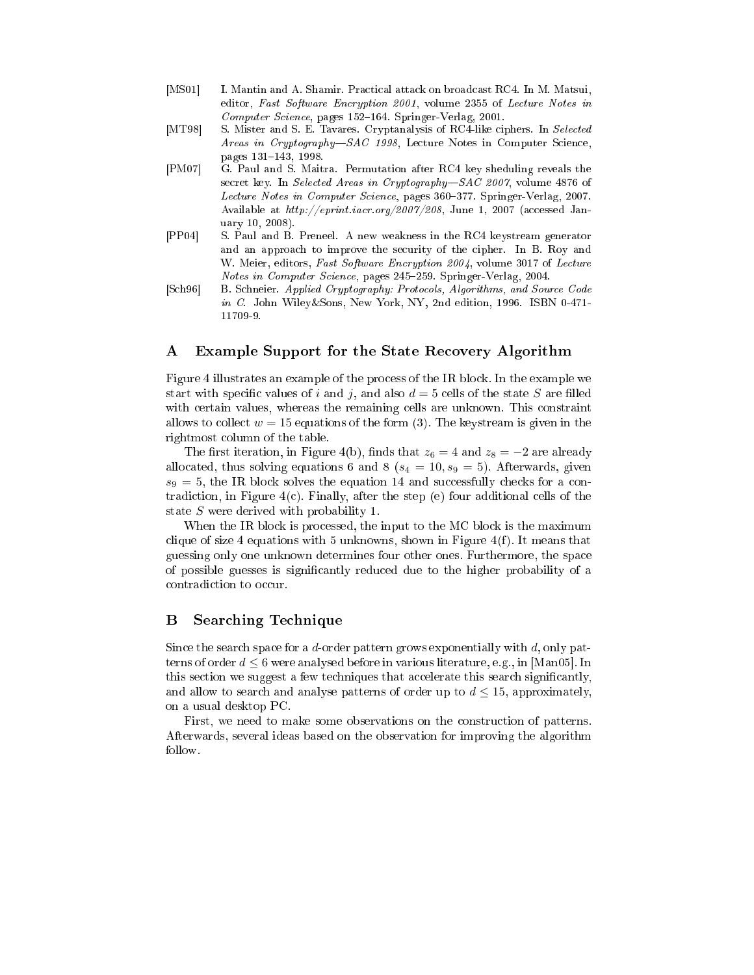- [MS01] I. Mantin and A. Shamir. Practical attack on broadcast RC4. In M. Matsui, editor, Fast Software Encryption 2001, volume 2355 of Lecture Notes in  $Computer\, Science$ , pages 152–164. Springer-Verlag, 2001.
- [MT98] S. Mister and S. E. Tavares. Cryptanalysis of RC4-like ciphers. In Selected Areas in Cryptography-SAC 1998, Lecture Notes in Computer Science, pages 131-143, 1998.
- [PM07] G. Paul and S. Maitra. Permutation after RC4 key sheduling reveals the secret key. In Selected Areas in Cryptography-SAC 2007, volume 4876 of Lecture Notes in Computer Science, pages 360-377. Springer-Verlag, 2007. Available at http://eprint.iacr.org/2007/208, June 1, 2007 (accessed January 10, 2008).
- [PP04] S. Paul and B. Preneel. A new weakness in the RC4 keystream generator and an approach to improve the security of the cipher. In B. Roy and W. Meier, editors, Fast Software Encryption 2004, volume 3017 of Lecture Notes in Computer Science, pages 245-259. Springer-Verlag, 2004.
- [Sch96] B. Schneier. Applied Cryptography: Protocols, Algorithms, and Source Code in C. John Wiley&Sons, New York, NY, 2nd edition, 1996. ISBN 0-471- 11709-9.

## A Example Support for the State Recovery Algorithm

Figure 4 illustrates an example of the process of the IR block. In the example we start with specific values of i and j, and also  $d = 5$  cells of the state S are filled with certain values, whereas the remaining cells are unknown. This constraint allows to collect  $w = 15$  equations of the form (3). The keystream is given in the rightmost column of the table.

The first iteration, in Figure 4(b), finds that  $z_6 = 4$  and  $z_8 = -2$  are already allocated, thus solving equations 6 and 8 ( $s_4 = 10, s_9 = 5$ ). Afterwards, given  $s_9 = 5$ , the IR block solves the equation 14 and successfully checks for a contradiction, in Figure  $4(c)$ . Finally, after the step (e) four additional cells of the state S were derived with probability 1.

When the IR block is processed, the input to the MC block is the maximum clique of size 4 equations with 5 unknowns, shown in Figure  $4(f)$ . It means that guessing only one unknown determines four other ones. Furthermore, the space of possible guesses is signicantly reduced due to the higher probability of a contradiction to occur.

## B Searching Technique

Since the search space for a  $d$ -order pattern grows exponentially with  $d$ , only patterns of order  $d \leq 6$  were analysed before in various literature, e.g., in [Man05]. In this section we suggest a few techniques that accelerate this search significantly, and allow to search and analyse patterns of order up to  $d \leq 15$ , approximately, on a usual desktop PC.

First, we need to make some observations on the construction of patterns. Afterwards, several ideas based on the observation for improving the algorithm follow.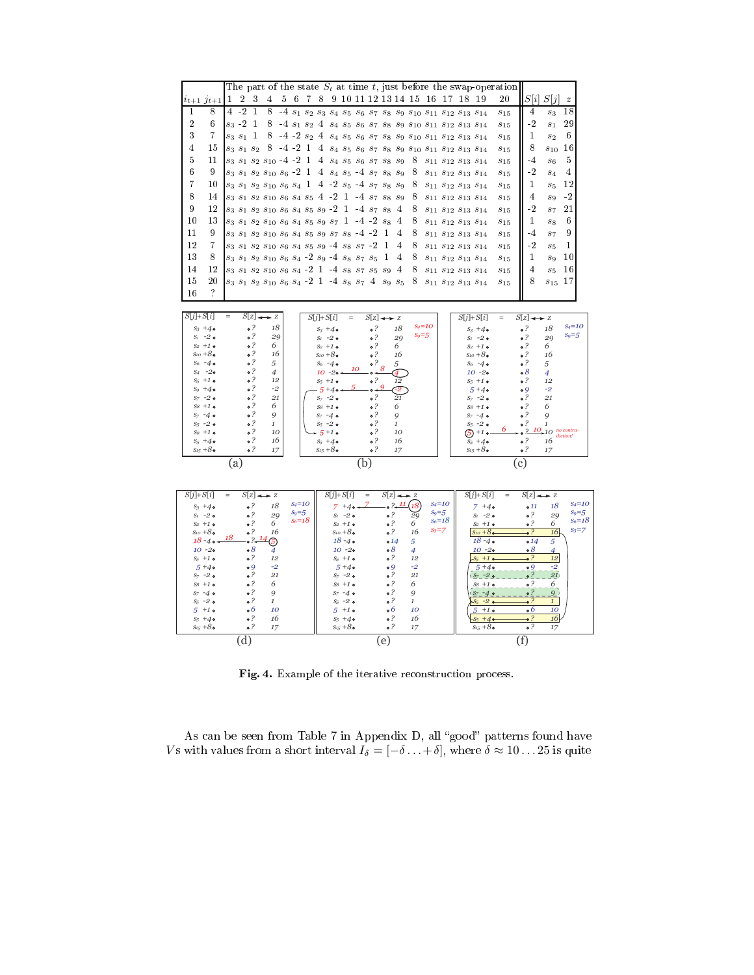

Fig. 4. Example of the iterative reconstruction process.

As can be seen from Table 7 in Appendix D, all "good" patterns found have Vs with values from a short interval  $I_{\delta} = [-\delta \ldots + \delta],$  where  $\delta \approx 10 \ldots 25$  is quite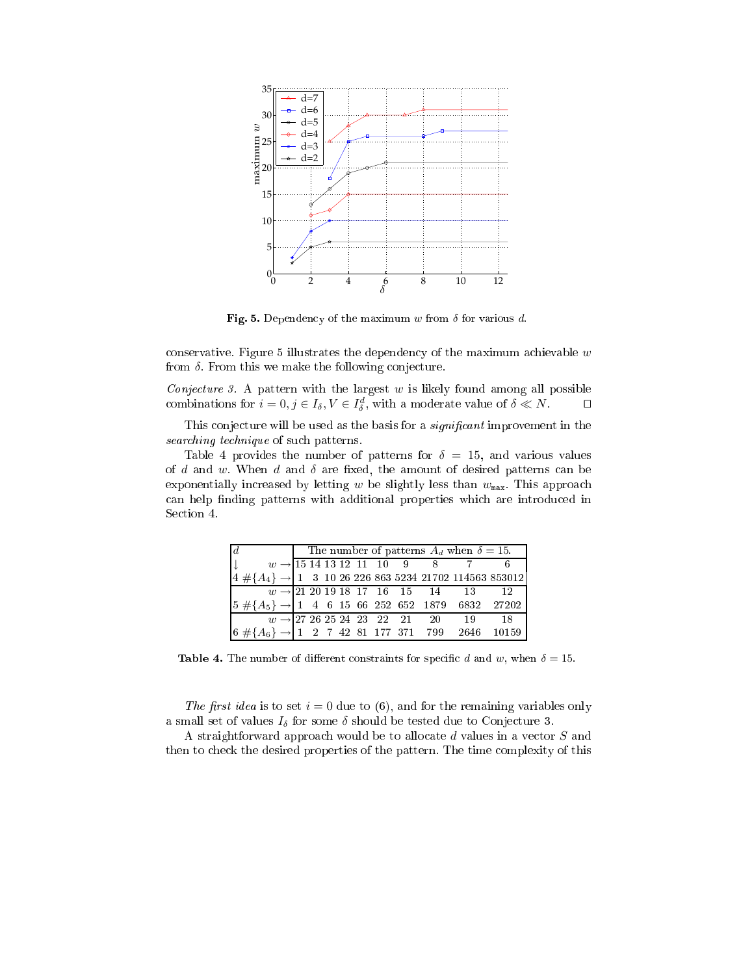

Fig. 5. Dependency of the maximum w from  $\delta$  for various d.

conservative. Figure 5 illustrates the dependency of the maximum achievable  $w$ from  $\delta$ . From this we make the following conjecture.

Conjecture 3. A pattern with the largest  $w$  is likely found among all possible combinations for  $i = 0, j \in I_{\delta}, V \in I_{\delta}^d$ , with a moderate value of  $\delta \ll N$ .

This conjecture will be used as the basis for a *significant* improvement in the searching technique of such patterns.

Table 4 provides the number of patterns for  $\delta = 15$ , and various values of d and w. When d and  $\delta$  are fixed, the amount of desired patterns can be exponentially increased by letting w be slightly less than  $w_{\text{max}}$ . This approach can help finding patterns with additional properties which are introduced in Section 4.

|                                                                                                                                                                                              |  |  |  |  | The number of patterns $A_d$ when $\delta = 15$ . |  |
|----------------------------------------------------------------------------------------------------------------------------------------------------------------------------------------------|--|--|--|--|---------------------------------------------------|--|
|                                                                                                                                                                                              |  |  |  |  |                                                   |  |
| $\begin{array}{ccc}\n\downarrow & w \rightarrow 15\ 14\ 13\ 12\ 11\ 10\ 9\ 8\ 7\ 6 \\ \downarrow & 4\# \{A_4\} \rightarrow 1\ 3\ 10\ 26\ 226\ 863\ 5234\ 21702\ 114563\ 853012\n\end{array}$ |  |  |  |  |                                                   |  |
|                                                                                                                                                                                              |  |  |  |  |                                                   |  |
| $\begin{array}{ l ccccccccccc }\hline w\rightarrow21\ 20\ 19\ 18\ 17\ 16\ 15\ 14\ 13\ 12\\ \hline 5\ \# \{A_5\}\rightarrow1\ 4\ 6\ 15\ 66\ 252\ 652\ 1879\ 6832\ 27202\\ \hline \end{array}$ |  |  |  |  |                                                   |  |
|                                                                                                                                                                                              |  |  |  |  |                                                   |  |
| $w \rightarrow 27\ 26\ 25\ 24\ 23\quad 22\quad 21\quad 20\qquad 19\qquad 18$<br>$6\ \# \{A_6\} \rightarrow 1\quad 2\quad 7\ \ 42\ \ 81\ \ 177\ \ 371\quad 799\quad 2646\quad 10159$          |  |  |  |  |                                                   |  |

**Table 4.** The number of different constraints for specific d and w, when  $\delta = 15$ .

The first idea is to set  $i = 0$  due to (6), and for the remaining variables only a small set of values  $I_{\delta}$  for some  $\delta$  should be tested due to Conjecture 3.

A straightforward approach would be to allocate d values in a vector S and then to check the desired properties of the pattern. The time complexity of this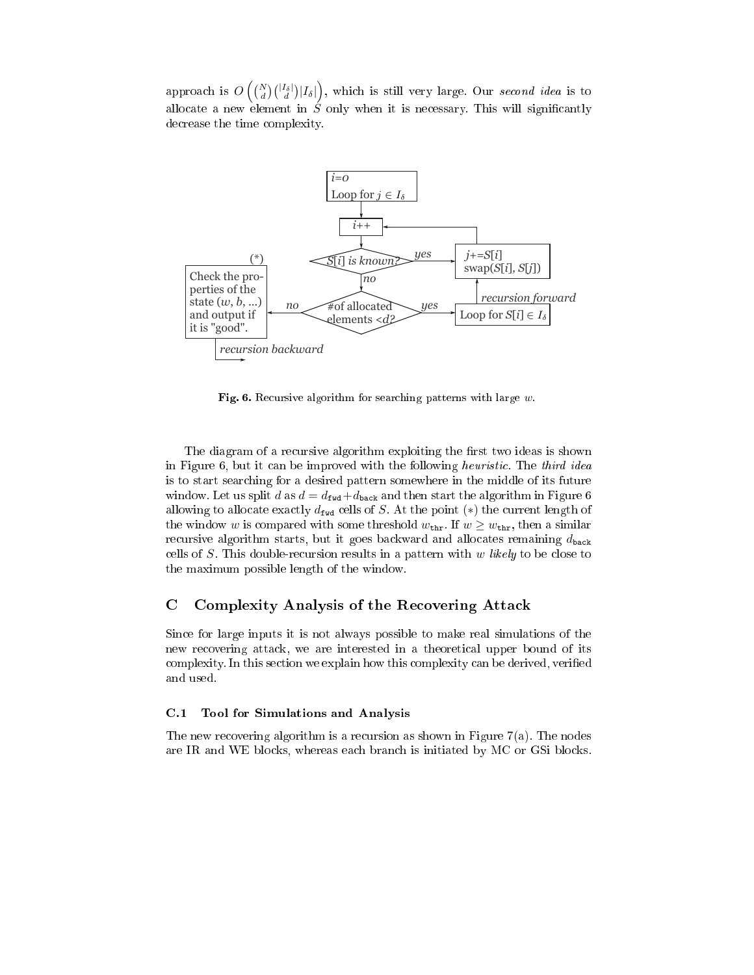approach is  $O\left(\binom{N}{d}\binom{|I_{\delta}|}{d}|I_{\delta}|\right)$ , which is still very large. Our second idea is to allocate a new element in  $\acute{S}$  only when it is necessary. This will significantly decrease the time complexity.



Fig. 6. Recursive algorithm for searching patterns with large  $w$ .

The diagram of a recursive algorithm exploiting the first two ideas is shown in Figure 6, but it can be improved with the following heuristic. The third idea is to start searching for a desired pattern somewhere in the middle of its future window. Let us split d as  $d = d_{\text{fwd}} + d_{\text{back}}$  and then start the algorithm in Figure 6 allowing to allocate exactly  $d_{\text{fwd}}$  cells of S. At the point (\*) the current length of the window w is compared with some threshold  $w_{\text{thr}}$ . If  $w \geq w_{\text{thr}}$ , then a similar recursive algorithm starts, but it goes backward and allocates remaining  $d_{\text{back}}$ cells of  $S$ . This double-recursion results in a pattern with  $w$  likely to be close to the maximum possible length of the window.

#### $\mathbf C$ Complexity Analysis of the Recovering Attack

Since for large inputs it is not always possible to make real simulations of the new recovering attack, we are interested in a theoretical upper bound of its complexity. In this section we explain how this complexity can be derived, verified and used.

## C.1 Tool for Simulations and Analysis

The new recovering algorithm is a recursion as shown in Figure  $7(a)$ . The nodes are IR and WE blocks, whereas each branch is initiated by MC or GSi blocks.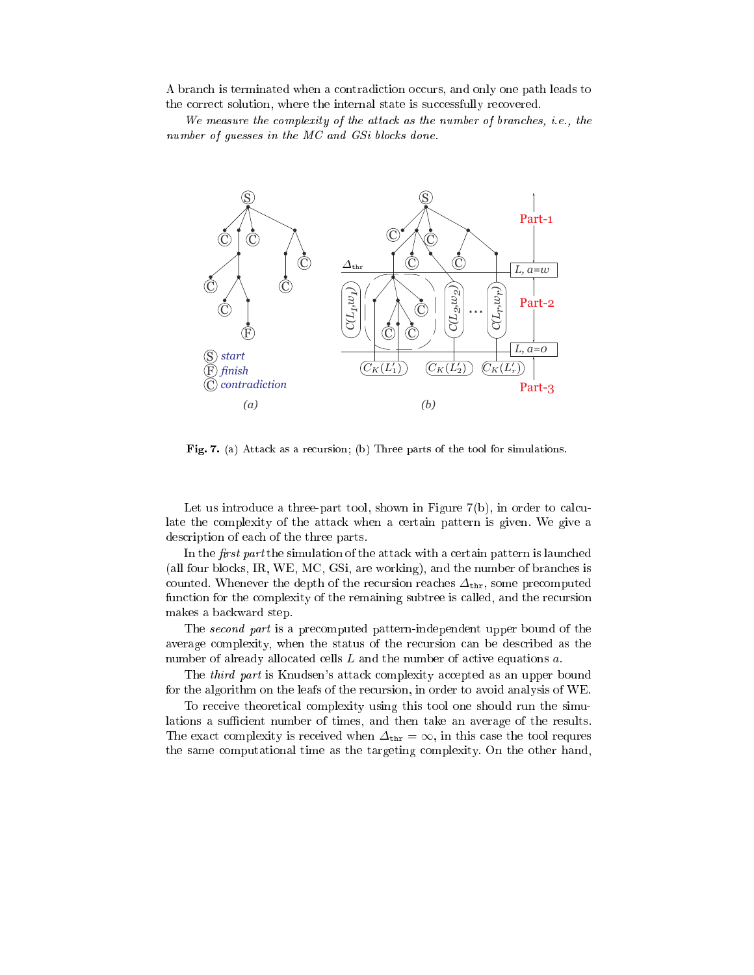A branch is terminated when a contradiction occurs, and only one path leads to the correct solution, where the internal state is successfully recovered.

We measure the complexity of the attack as the number of branches, i.e., the number of guesses in the MC and GSi blocks done.



Fig. 7. (a) Attack as a recursion; (b) Three parts of the tool for simulations.

Let us introduce a three-part tool, shown in Figure 7(b), in order to calculate the complexity of the attack when a certain pattern is given. We give a description of each of the three parts.

In the *first part* the simulation of the attack with a certain pattern is launched (all four blocks, IR, WE, MC, GSi, are working), and the number of branches is counted. Whenever the depth of the recursion reaches  $\Delta_{\text{thr}}$ , some precomputed function for the complexity of the remaining subtree is called, and the recursion makes a backward step.

The second part is a precomputed pattern-independent upper bound of the average complexity, when the status of the recursion can be described as the number of already allocated cells L and the number of active equations a.

The third part is Knudsen's attack complexity accepted as an upper bound for the algorithm on the leafs of the recursion, in order to avoid analysis of WE.

To receive theoretical complexity using this tool one should run the simulations a sufficient number of times, and then take an average of the results. The exact complexity is received when  $\Delta_{\text{thr}} = \infty$ , in this case the tool requres the same computational time as the targeting complexity. On the other hand,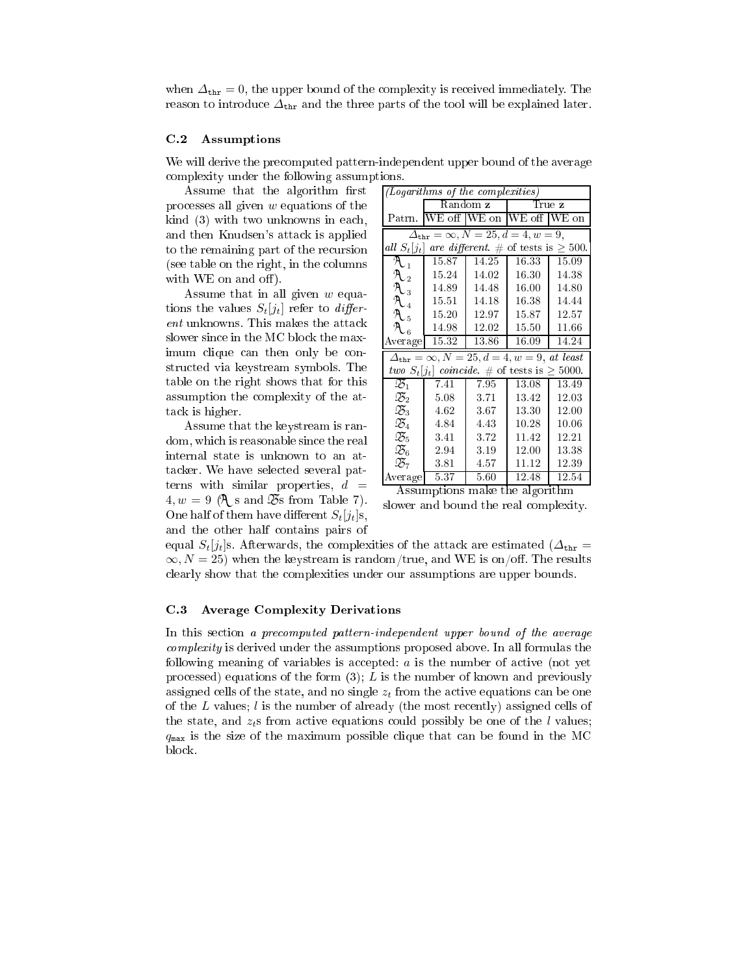when  $\Delta_{\text{thr}} = 0$ , the upper bound of the complexity is received immediately. The reason to introduce  $\Delta_{\text{thr}}$  and the three parts of the tool will be explained later.

### C.2 Assumptions

We will derive the precomputed pattern-independent upper bound of the average complexity under the following assumptions.

Assume that the algorithm first processes all given  $w$  equations of the kind (3) with two unknowns in each, and then Knudsen's attack is applied to the remaining part of the recursion (see table on the right, in the columns with WE on and off).

Assume that in all given  $w$  equations the values  $S_t[j_t]$  refer to *differ*ent unknowns. This makes the attack slower since in the MC block the maximum clique can then only be constructed via keystream symbols. The table on the right shows that for this assumption the complexity of the attack is higher.

Assume that the keystream is random, which is reasonable since the real internal state is unknown to an attacker. We have selected several patterns with similar properties,  $d =$  $4, w = 9$  ( $\mathcal{A}$  s and  $\mathcal{B}$ s from Table 7). One half of them have different  $S_t[j_t]$ s, and the other half contains pairs of

|                                                          | (Logarithms of the complexities)                               |          |                           |                    |  |  |  |  |  |  |  |  |
|----------------------------------------------------------|----------------------------------------------------------------|----------|---------------------------|--------------------|--|--|--|--|--|--|--|--|
|                                                          |                                                                | Random z |                           | True z             |  |  |  |  |  |  |  |  |
| Patrn.                                                   |                                                                |          | WE off WE on WE off WE on |                    |  |  |  |  |  |  |  |  |
|                                                          | $\Delta_{\text{thr}} = \infty, N = 25, d = 4, w = 9,$          |          |                           |                    |  |  |  |  |  |  |  |  |
| all $S_t[j_t]$ are different. # of tests is $\geq 500$ . |                                                                |          |                           |                    |  |  |  |  |  |  |  |  |
| $\mathcal{A}_{1}$                                        | 15.87                                                          | 14.25    | 16.33                     | 15.09              |  |  |  |  |  |  |  |  |
| $\mathcal{A}_{2}$                                        | 15.24                                                          | 14.02    | 16.30                     | 14.38              |  |  |  |  |  |  |  |  |
| $\mathcal{A}_{3}$                                        | 14.89                                                          | 14.48    | 16.00                     | 14.80              |  |  |  |  |  |  |  |  |
| $\mathcal{A}_{\mathcal{A}}$                              | 15.51                                                          | 14.18    | 16.38                     | 14.44              |  |  |  |  |  |  |  |  |
| $\mathcal{A}_{5}$                                        | 15.20                                                          | 12.97    | 15.87                     | 12.57              |  |  |  |  |  |  |  |  |
| $\mathcal{A}_{6}$                                        | 14.98                                                          | 12.02    | 15.50                     | 11.66              |  |  |  |  |  |  |  |  |
| Average                                                  | 15.32                                                          | 13.86    | 16.09                     | 14.24              |  |  |  |  |  |  |  |  |
|                                                          | $\Delta_{\text{thr}} = \infty, N = 25, d = 4, w = 9, at least$ |          |                           |                    |  |  |  |  |  |  |  |  |
|                                                          | two $S_t[j_t]$ coincide. # of tests is $\geq 5000$ .           |          |                           |                    |  |  |  |  |  |  |  |  |
| $\mathfrak{B}_1$                                         | 7.41                                                           | 7.95     | 13.08                     | 13.49              |  |  |  |  |  |  |  |  |
| $\mathfrak{B}_2$                                         | 5.08                                                           | 3.71     | 13.42                     | 12.03              |  |  |  |  |  |  |  |  |
| $\mathfrak{B}_3$                                         | 4.62                                                           | 3.67     | 13.30                     | 12.00              |  |  |  |  |  |  |  |  |
| $\mathfrak{B}_4$                                         | 4.84                                                           | 4.43     | 10.28                     | 10.06              |  |  |  |  |  |  |  |  |
| $\mathfrak{B}_5$                                         | 3.41                                                           | 3.72     | 11.42                     | 12.21              |  |  |  |  |  |  |  |  |
| $\mathfrak{B}_6$                                         | 2.94                                                           | 3.19     | 12.00                     | 13.38              |  |  |  |  |  |  |  |  |
| $\mathfrak{B}_7$                                         | 3.81                                                           | 4.57     | 11.12                     | 12.39              |  |  |  |  |  |  |  |  |
| Average                                                  | 5.37                                                           | 5.60     | 12.48                     | $\overline{12.54}$ |  |  |  |  |  |  |  |  |

Assumptions make the algorithm

slower and bound the real complexity.

equal  $S_t[j_t]$ s. Afterwards, the complexities of the attack are estimated ( $\Delta_{\text{thr}}$  $\infty, N = 25$ ) when the keystream is random/true, and WE is on/off. The results clearly show that the complexities under our assumptions are upper bounds.

### C.3 Average Complexity Derivations

In this section a precomputed pattern-independent upper bound of the average complexity is derived under the assumptions proposed above. In all formulas the following meaning of variables is accepted:  $a$  is the number of active (not yet processed) equations of the form  $(3)$ ; L is the number of known and previously assigned cells of the state, and no single  $z_t$  from the active equations can be one of the  $L$  values;  $l$  is the number of already (the most recently) assigned cells of the state, and  $z<sub>t</sub>$ s from active equations could possibly be one of the l values;  $q_{\text{max}}$  is the size of the maximum possible clique that can be found in the MC block.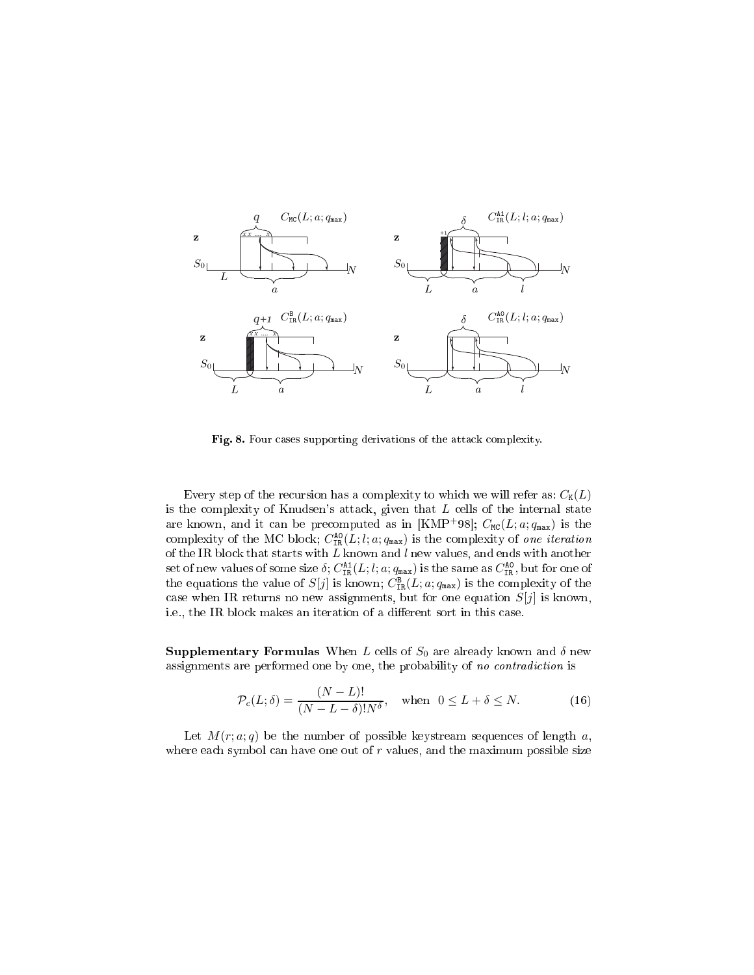

Fig. 8. Four cases supporting derivations of the attack complexity.

Every step of the recursion has a complexity to which we will refer as:  $C_K(L)$ is the complexity of Knudsen's attack, given that  $L$  cells of the internal state are known, and it can be precomputed as in [KMP+98];  $C_{\text{MC}}(L; a; q_{\text{max}})$  is the complexity of the MC block;  $C_{\text{TR}}^{\text{AO}}(L; l; a; q_{\text{max}})$  is the complexity of one iteration of the IR block that starts with  $L$  known and  $l$  new values, and ends with another set of new values of some size  $\delta$ ;  $C_{IR}^{A1}(L; l; a; q_{max})$  is the same as  $C_{IR}^{A0}$ , but for one of the equations the value of  $S[j]$  is known;  $C_{IR}^{B}(L; a; q_{max})$  is the complexity of the case when IR returns no new assignments, but for one equation  $S[j]$  is known, i.e., the IR block makes an iteration of a different sort in this case.

**Supplementary Formulas** When L cells of  $S_0$  are already known and  $\delta$  new assignments are performed one by one, the probability of no contradiction is

$$
\mathcal{P}_c(L;\delta) = \frac{(N-L)!}{(N-L-\delta)!N^{\delta}}, \quad \text{when} \quad 0 \le L+\delta \le N. \tag{16}
$$

Let  $M(r; a; q)$  be the number of possible keystream sequences of length a, where each symbol can have one out of  $r$  values, and the maximum possible size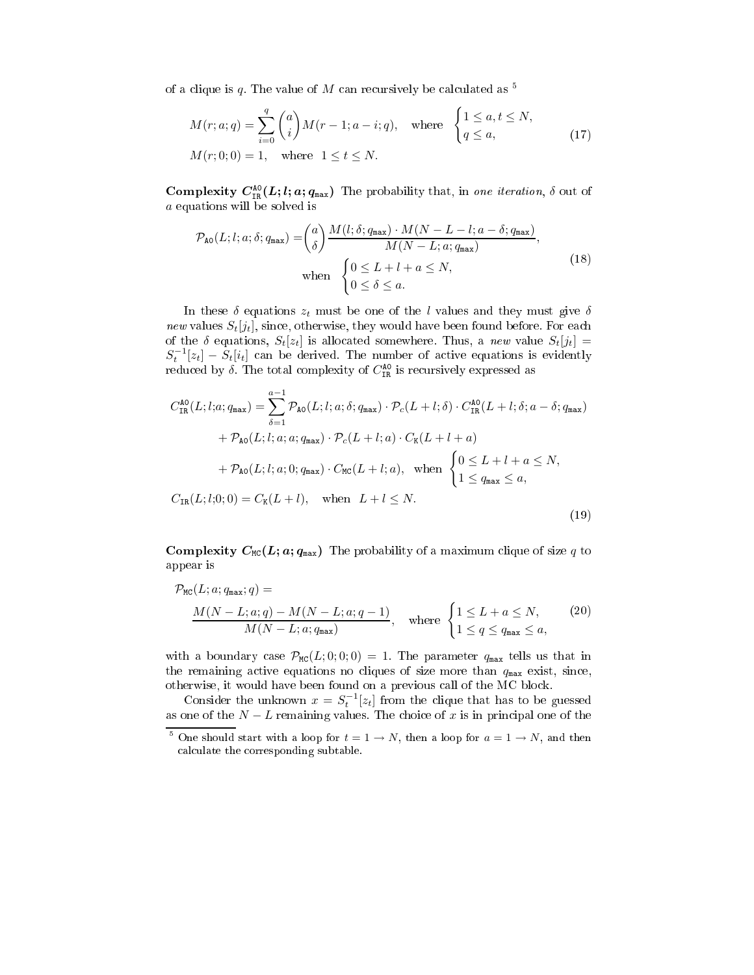of a clique is q. The value of M can recursively be calculated as  $5$ 

$$
M(r;a;q) = \sum_{i=0}^{q} {a \choose i} M(r-1;a-i;q), \text{ where } \begin{cases} 1 \leq a, t \leq N, \\ q \leq a, \end{cases}
$$
  
 
$$
M(r;0;0) = 1, \text{ where } 1 \leq t \leq N.
$$
 (17)

**Complexity**  $C_{\text{IR}}^{\text{AO}}(L; l; a; q_{\text{max}})$  The probability that, in one iteration,  $\delta$  out of a equations will be solved is

$$
\mathcal{P}_{\text{AO}}(L;l;a;\delta;q_{\text{max}}) = {a \choose \delta} \frac{M(l;\delta;q_{\text{max}}) \cdot M(N-L-l;a-\delta;q_{\text{max}})}{M(N-L;a;q_{\text{max}})},
$$
\nwhen\n
$$
\begin{cases}\n0 \le L+l+a \le N, \\
0 \le \delta \le a.\n\end{cases}
$$
\n(18)

In these  $\delta$  equations  $z_t$  must be one of the l values and they must give  $\delta$ new values  $S_t[j_t]$ , since, otherwise, they would have been found before. For each of the  $\delta$  equations,  $S_t[z_t]$  is allocated somewhere. Thus, a new value  $S_t[j_t] =$  $S_t^{-1}[z_t] - S_t[i_t]$  can be derived. The number of active equations is evidently reduced by  $\delta$ . The total complexity of  $C_{\text{IR}}^{\text{AO}}$  is recursively expressed as

$$
C_{\text{IR}}^{\text{AO}}(L;l;a;q_{\text{max}}) = \sum_{\delta=1}^{a-1} \mathcal{P}_{\text{AO}}(L;l;a;\delta;q_{\text{max}}) \cdot \mathcal{P}_c(L+l;\delta) \cdot C_{\text{IR}}^{\text{AO}}(L+l;\delta;a-\delta;q_{\text{max}})
$$

$$
+ \mathcal{P}_{\text{AO}}(L;l;a;a;q_{\text{max}}) \cdot \mathcal{P}_c(L+l;a) \cdot C_{\text{K}}(L+l+a)
$$

$$
+ \mathcal{P}_{\text{AO}}(L;l;a;0;q_{\text{max}}) \cdot C_{\text{MC}}(L+l;a), \text{ when } \begin{cases} 0 \le L+l+a \le N, \\ 1 \le q_{\text{max}} \le a, \end{cases}
$$

$$
C_{\text{IR}}(L;l;0;0) = C_{\text{K}}(L+l), \text{ when } L+l \le N.
$$
(19)

**Complexity**  $C_{MC}(L; a; q_{max})$  The probability of a maximum clique of size q to appear is

$$
\mathcal{P}_{\text{MC}}(L; a; q_{\text{max}}; q) = \frac{M(N - L; a; q) - M(N - L; a; q - 1)}{M(N - L; a; q_{\text{max}})}, \quad \text{where } \begin{cases} 1 \le L + a \le N, \\ 1 \le q \le q_{\text{max}} \le a, \end{cases} \tag{20}
$$

with a boundary case  $\mathcal{P}_{MC}(L; 0; 0; 0) = 1$ . The parameter  $q_{max}$  tells us that in the remaining active equations no cliques of size more than  $q_{\text{max}}$  exist, since, otherwise, it would have been found on a previous call of the MC block.

Consider the unknown  $x = S_t^{-1}[z_t]$  from the clique that has to be guessed as one of the  $N - L$  remaining values. The choice of x is in principal one of the

<sup>5</sup> One should start with a loop for  $t = 1 \rightarrow N$ , then a loop for  $a = 1 \rightarrow N$ , and then calculate the corresponding subtable.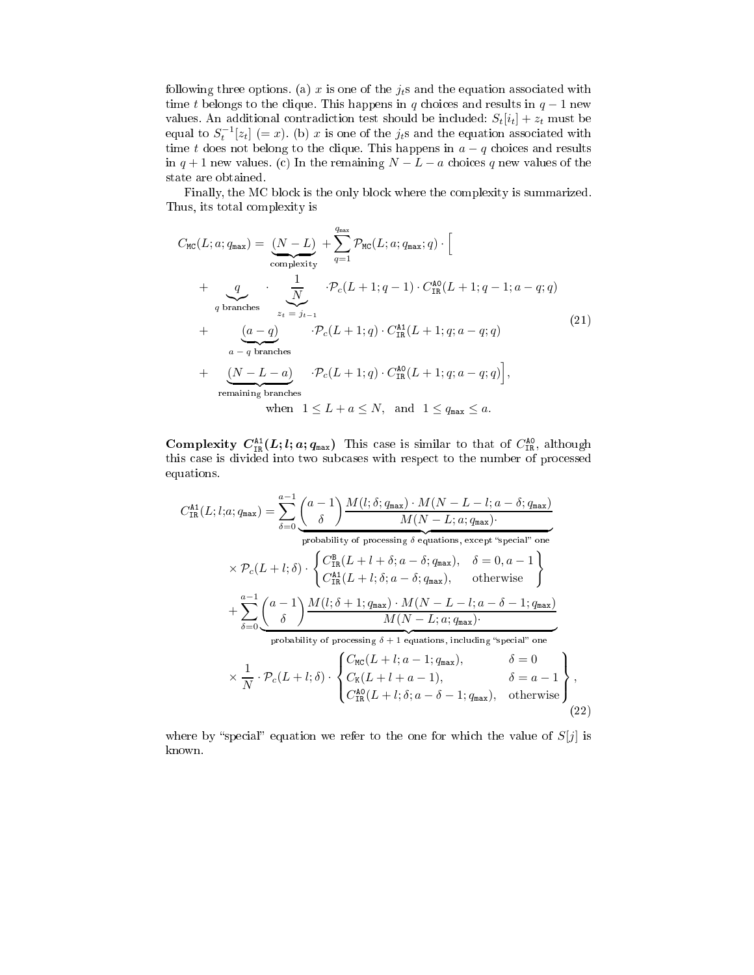following three options. (a) x is one of the  $j_t$ s and the equation associated with time t belongs to the clique. This happens in q choices and results in  $q-1$  new values. An additional contradiction test should be included:  $S_t[i_t] + z_t$  must be equal to  $S_t^{-1}[z_t] (= x)$ . (b) x is one of the  $j_t$ s and the equation associated with time t does not belong to the clique. This happens in  $a - q$  choices and results in  $q + 1$  new values. (c) In the remaining  $N - L - a$  choices q new values of the state are obtained.

Finally, the MC block is the only block where the complexity is summarized. Thus, its total complexity is

$$
C_{\text{MC}}(L; a; q_{\text{max}}) = \underbrace{(N - L)}_{\text{complexity}} + \sum_{q=1}^{q_{\text{max}}} \mathcal{P}_{\text{MC}}(L; a; q_{\text{max}}; q) \cdot \left[
$$
\n
$$
+ \underbrace{q}_{q \text{ branches}} \cdot \underbrace{\frac{1}{N}}_{z_t = j_{t-1}} \cdot \mathcal{P}_c(L+1; q-1) \cdot C_{\text{IR}}^{\text{A0}}(L+1; q-1; a-q; q) \right]
$$
\n
$$
+ \underbrace{(a-q)}_{a-q \text{ branches}} \cdot \mathcal{P}_c(L+1; q) \cdot C_{\text{IR}}^{\text{A1}}(L+1; q; a-q; q) \qquad (21)
$$
\n
$$
+ \underbrace{(N - L - a)}_{\text{remaining branches}} \cdot \mathcal{P}_c(L+1; q) \cdot C_{\text{IR}}^{\text{A0}}(L+1; q; a-q; q) \right],
$$
\n
$$
= \underbrace{(N - L - a)}_{\text{remaining branches}} \cdot \mathcal{P}_c(L+1; q) \cdot C_{\text{IR}}^{\text{A0}}(L+1; q; a-q; q) \bigg],
$$
\n
$$
= \underbrace{(N - L - a)}_{\text{meanining branches}} \cdot \mathcal{P}_c(L+1; q) \cdot C_{\text{IR}}^{\text{A0}}(L+1; q; a-q; q) \bigg],
$$
\n
$$
= \underbrace{(N - L - a)}_{\text{meaning branches}} \cdot \mathcal{P}_c(L+1; q) \cdot C_{\text{IR}}^{\text{A0}}(L+1; q; a-q; q) \bigg],
$$
\n
$$
= \underbrace{(N - L - a)}_{\text{meaning branches}} \cdot \mathcal{P}_c(L+1; q) \cdot C_{\text{IR}}^{\text{A0}}(L+1; q; a-q; q) \bigg],
$$
\n
$$
= \underbrace{(N - L - a)}_{\text{meaning branches}} \cdot \mathcal{P}_c(L+1; q) \cdot C_{\text{IR}}^{\text{A0}}(L+1; q; a-q; q) \bigg],
$$
\n
$$
= \underbrace{(N - L - a)}_{\text{meaning branches}} \cdot \mathcal{P}_c(L+1; q) \cdot C_{\text{IR}}^
$$

Complexity  $C_{\text{IR}}^{\text{A1}}(L;l;a;q_{\text{max}})$  This case is similar to that of  $C_{\text{IR}}^{\text{A0}}$ , although this case is divided into two subcases with respect to the number of processed equations.

$$
C_{\text{IR}}^{\text{A1}}(L;l;a;q_{\text{max}}) = \sum_{\delta=0}^{a-1} \underbrace{\binom{a-1}{\delta} \frac{M(l;\delta;q_{\text{max}}) \cdot M(N-L;l;a-\delta;q_{\text{max}})}{M(N-L;a;q_{\text{max}})}}_{\text{probability of processing } \delta \text{ equations, except "special" one}} \times p_c(L+l;\delta) \cdot \underbrace{\binom{\sigma_B^B(L+l+\delta;a-\delta;q_{\text{max}})}{\sigma_B^B(L+l+\delta;a-\delta;q_{\text{max}})}_{\text{IR}}}, \quad \delta = 0, a-1}_{\text{otherwise}} \right\} + \sum_{\delta=0}^{a-1} \underbrace{\binom{a-1}{\delta} \frac{M(l;\delta+1;q_{\text{max}}) \cdot M(N-L-l;a-\delta-1;q_{\text{max}})}{M(N-L;a;q_{\text{max}})}}_{\text{probability of processing } \delta+1 \text{ equations, including "special" one}} \times \frac{1}{N} \cdot p_c(L+l;\delta) \cdot \begin{cases} C_{\text{MC}}(L+l;a-1;q_{\text{max}}), & \delta = 0 \\ C_{\text{LR}}^{\text{A0}}(L+l;a-1), & \delta = a-1 \\ C_{\text{RR}}^{\text{A0}}(L+l;\delta;a-\delta-1;q_{\text{max}}), & \text{otherwise} \end{cases}}_{\text{C22}}
$$

where by "special" equation we refer to the one for which the value of  $S[j]$  is known.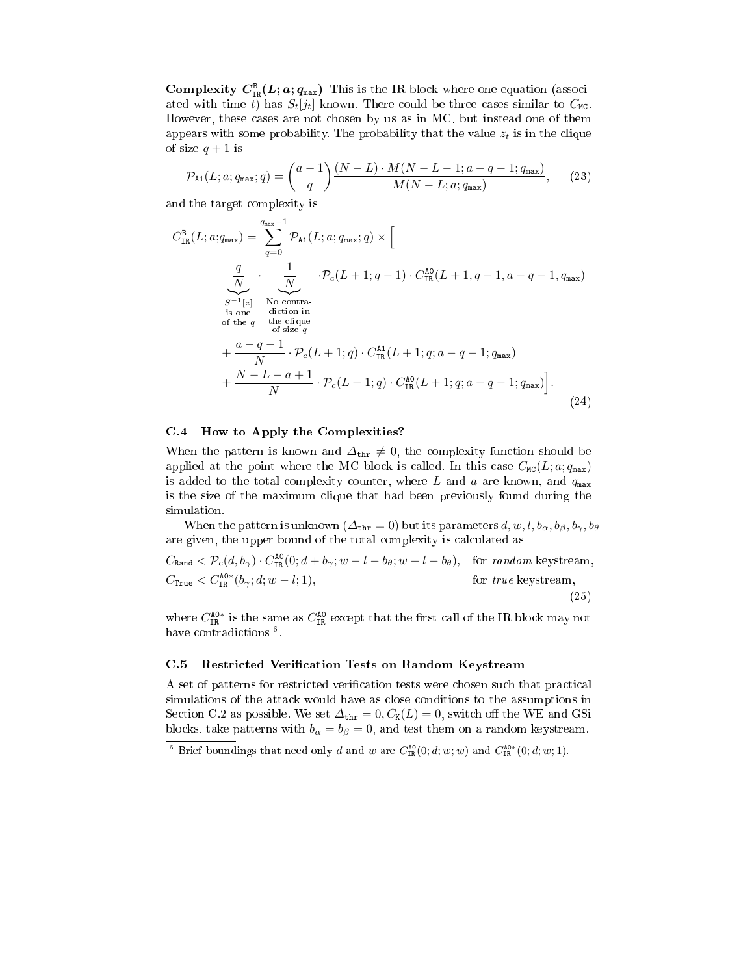Complexity  $C_{\text{IR}}^{\text{B}}(L; a; q_{\text{max}})$  This is the IR block where one equation (associated with time t) has  $S_t[j_t]$  known. There could be three cases similar to  $C_{\text{MC}}$ . However, these cases are not chosen by us as in MC, but instead one of them appears with some probability. The probability that the value  $z_t$  is in the clique of size  $q+1$  is

$$
\mathcal{P}_{\mathtt{A1}}(L;a;q_{\mathtt{max}};q) = {a-1 \choose q} \frac{(N-L) \cdot M(N-L-1;a-q-1;q_{\mathtt{max}})}{M(N-L;a;q_{\mathtt{max}})},\qquad(23)
$$

and the target complexity is

$$
C_{IR}^{B}(L;a;q_{max}) = \sum_{q=0}^{q_{max}-1} \mathcal{P}_{A1}(L;a;q_{max};q) \times \left[\n\frac{q}{N} \cdot \frac{1}{\sum_{S^{-1}[z]} N_0 \text{ contra.}} \cdot \mathcal{P}_c(L+1;q-1) \cdot C_{IR}^{A0}(L+1,q-1,a-q-1,q_{max})\n\right]
$$
\n
$$
\sum_{\substack{S^{-1}[z] \\ S \text{ of the } q \\ S \text{ is one} \\ S \text{ of size } q}} \cdot \mathcal{P}_c(L+1;q-1) \cdot C_{IR}^{A0}(L+1,q-1,a-q-1,q_{max})
$$
\n
$$
+ \frac{a-q-1}{N} \cdot \mathcal{P}_c(L+1;q) \cdot C_{IR}^{A1}(L+1;q;a-q-1;q_{max})\n\right].
$$
\n
$$
+ \frac{N-L-a+1}{N} \cdot \mathcal{P}_c(L+1;q) \cdot C_{IR}^{A0}(L+1;q;a-q-1;q_{max})\n\Big].
$$
\n(24)

## C.4 How to Apply the Complexities?

When the pattern is known and  $\Delta_{\text{thr}} \neq 0$ , the complexity function should be applied at the point where the MC block is called. In this case  $C_{MC}(L; a; q_{\text{max}})$ is added to the total complexity counter, where L and a are known, and  $q_{\text{max}}$ is the size of the maximum clique that had been previously found during the simulation.

When the pattern is unknown ( $\Delta_{\text{thr}} = 0$ ) but its parameters  $d, w, l, b_\alpha, b_\beta, b_\gamma, b_\theta$ are given, the upper bound of the total complexity is calculated as

 $C_{\text{Rand}} < \mathcal{P}_c(d, b_{\gamma}) \cdot C_{\text{IR}}^{\text{AO}}(0; d + b_{\gamma}; w - l - b_{\theta}; w - l - b_{\theta}), \text{ for random keystream, }$  $C_{\texttt{True}} < C_{\texttt{IR}}^{\texttt{AO}*}(b_{\gamma};d;w-l;1),$ for  $true$  keystream, (25)

where  $C_{\text{TR}}^{\text{A0}*}$  is the same as  $C_{\text{TR}}^{\text{A0}}$  except that the first call of the IR block may not have contradictions <sup>6</sup> .

## C.5 Restricted Verification Tests on Random Keystream

A set of patterns for restricted verification tests were chosen such that practical simulations of the attack would have as close conditions to the assumptions in Section C.2 as possible. We set  $\Delta_{\text{thr}} = 0, C_{\text{K}}(L) = 0$ , switch off the WE and GSi blocks, take patterns with  $b_{\alpha} = b_{\beta} = 0$ , and test them on a random keystream.

<sup>&</sup>lt;sup>6</sup> Brief boundings that need only d and w are  $C_{IR}^{A0}(0; d; w; w)$  and  $C_{IR}^{A0*}(0; d; w; 1)$ .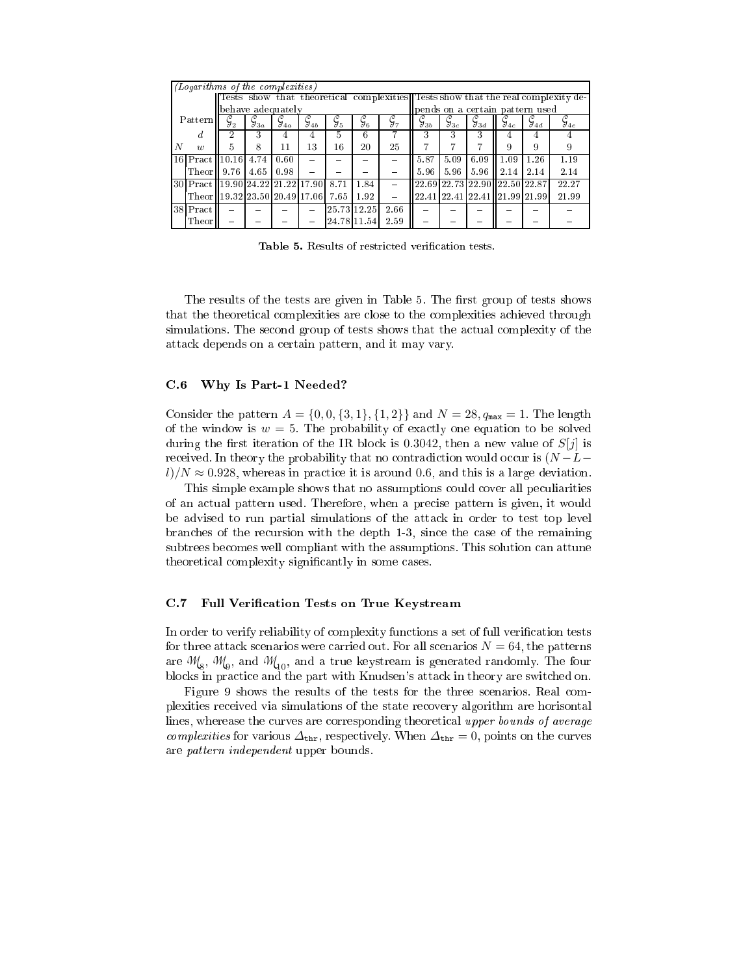|   | (Logarithms of the complexities)   |                   |                        |                    |                    |                 |                 |                                  |                     |                               |                    |                                     |                    |                                                                                  |  |  |  |
|---|------------------------------------|-------------------|------------------------|--------------------|--------------------|-----------------|-----------------|----------------------------------|---------------------|-------------------------------|--------------------|-------------------------------------|--------------------|----------------------------------------------------------------------------------|--|--|--|
|   |                                    |                   |                        |                    |                    |                 |                 |                                  |                     |                               |                    |                                     |                    | Tests show that theoretical complexities Tests show that the real complexity de- |  |  |  |
|   |                                    |                   |                        | behave adequately  |                    |                 |                 | lpends on a certain pattern used |                     |                               |                    |                                     |                    |                                                                                  |  |  |  |
|   | Pattern                            | $\mathcal{G}^-_2$ | $\c{\mathcal{G}}_{3a}$ | $\mathcal{I}_{4a}$ | $\mathcal{G}_{4b}$ | $\mathcal{G}_5$ | $\mathcal{G}_6$ | $\mathcal{G}_{7}$                | $\mathfrak{I}_{3b}$ | $\overline{\mathcal{G}_{3c}}$ | $\mathcal{G}_{3d}$ | $\mathcal{I}_{4c}$                  | $\mathcal{G}_{4d}$ | $\mathcal{J}_{4e}$                                                               |  |  |  |
|   | d                                  | 2                 | 3                      |                    |                    | 5               | 6               |                                  | 3                   | 3                             | 3                  |                                     |                    |                                                                                  |  |  |  |
| N | $\overline{w}$                     | 5.                | 8                      | 11                 | 13                 | 16              | 20              | 25                               | 7                   | 7                             |                    | 9                                   | 9                  |                                                                                  |  |  |  |
|   | $ 16 $ Pract                       | 10.16             | 4.74                   | 0.60               |                    |                 |                 |                                  | 5.87                | 5.09                          | 6.09               | 1.09                                | 1.26               | 1.19                                                                             |  |  |  |
|   | [Theor                             | 9.76              | 4.65                   | 0.98               |                    |                 |                 |                                  | 5.96                | 5.96                          | 5.96               | 2.14                                | 2.14               | 2.14                                                                             |  |  |  |
|   | 30 Pract 19.90 24.22 21.22 17.90   |                   |                        |                    |                    | 8.71            | 1.84            |                                  |                     |                               |                    | $[22.69]22.73]22.90$ $[22.50]22.87$ |                    | 22.27                                                                            |  |  |  |
|   | Theor 19.32 23.50 20.49 17.06 7.65 |                   |                        |                    |                    |                 | 1.92            |                                  |                     |                               |                    | 22.41 22.41 22.41 121.99 21.99      |                    | 21.99                                                                            |  |  |  |
|   | $38$ Pract                         |                   |                        |                    |                    |                 | 25.73 12.25     | 2.66                             |                     |                               |                    |                                     |                    |                                                                                  |  |  |  |
|   | Theor                              |                   |                        |                    |                    |                 | 24.78 11.54     | 2.59                             |                     |                               |                    |                                     |                    |                                                                                  |  |  |  |

Table 5. Results of restricted verification tests.

The results of the tests are given in Table 5. The first group of tests shows that the theoretical complexities are close to the complexities achieved through simulations. The second group of tests shows that the actual complexity of the attack depends on a certain pattern, and it may vary.

## C.6 Why Is Part-1 Needed?

Consider the pattern  $A = \{0, 0, \{3, 1\}, \{1, 2\}\}\$ and  $N = 28, q_{\text{max}} = 1$ . The length of the window is  $w = 5$ . The probability of exactly one equation to be solved during the first iteration of the IR block is 0.3042, then a new value of  $S[j]$  is received. In theory the probability that no contradiction would occur is  $(N - L$  $l/N \approx 0.928$ , whereas in practice it is around 0.6, and this is a large deviation.

This simple example shows that no assumptions could cover all peculiarities of an actual pattern used. Therefore, when a precise pattern is given, it would be advised to run partial simulations of the attack in order to test top level branches of the recursion with the depth 1-3, since the case of the remaining subtrees becomes well compliant with the assumptions. This solution can attune theoretical complexity significantly in some cases.

### C.7 Full Verification Tests on True Keystream

In order to verify reliability of complexity functions a set of full verification tests for three attack scenarios were carried out. For all scenarios  $N = 64$ , the patterns are  $\mathcal{M}_8$ ,  $\mathcal{M}_9$ , and  $\mathcal{M}_{10}$ , and a true keystream is generated randomly. The four blocks in practice and the part with Knudsen's attack in theory are switched on.

Figure 9 shows the results of the tests for the three scenarios. Real complexities received via simulations of the state recovery algorithm are horisontal lines, wherease the curves are corresponding theoretical upper bounds of average complexities for various  $\Delta_{\text{thr}}$ , respectively. When  $\Delta_{\text{thr}} = 0$ , points on the curves are pattern independent upper bounds.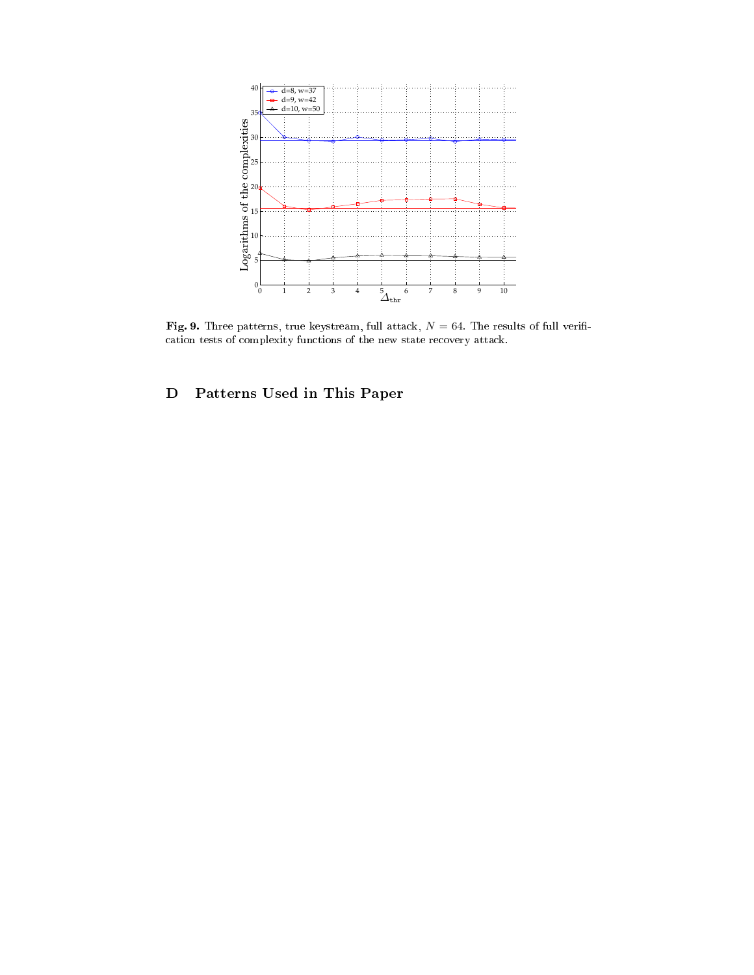

Fig. 9. Three patterns, true keystream, full attack,  $N = 64$ . The results of full verification tests of complexity functions of the new state recovery attack.

# D Patterns Used in This Paper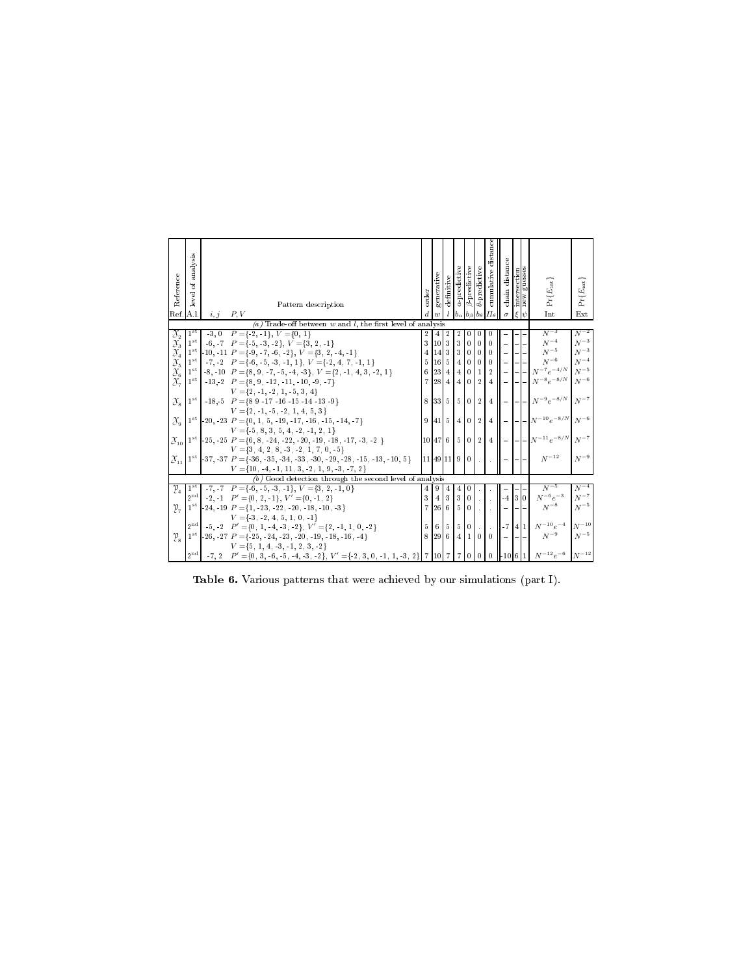| Reference                                                                                                                          | analysis<br>đ<br>level             |                                                                                                                                      | order          | generative      | definitive                       | a-predictive          | $\beta$ -predictive      | $\theta$ predictive  | cumulative distanc | chain distance       | intersection<br>new guesses | $Pr\{E_{\rm int}\}$                                                       | $Pr\{E_{\text{ext}}\}$ |
|------------------------------------------------------------------------------------------------------------------------------------|------------------------------------|--------------------------------------------------------------------------------------------------------------------------------------|----------------|-----------------|----------------------------------|-----------------------|--------------------------|----------------------|--------------------|----------------------|-----------------------------|---------------------------------------------------------------------------|------------------------|
| Ref. A.l.                                                                                                                          |                                    | Pattern description<br>P, V<br>i, j                                                                                                  |                |                 |                                  |                       |                          | ba                   |                    |                      | $\varepsilon \psi$          | Int                                                                       | Ext                    |
|                                                                                                                                    |                                    | (a) Trade-off between $w$ and $l$ , the first level of analysis                                                                      |                |                 |                                  |                       |                          |                      |                    |                      |                             |                                                                           |                        |
| $\begin{array}{c} \mathfrak{X}_2 \ \mathfrak{X}_3 \ \mathfrak{X}_4 \ \mathfrak{X}_5 \ \mathfrak{X}_6 \ \mathfrak{X}_7 \end{array}$ | 1 <sup>st</sup><br>1 <sup>st</sup> | $-3, 0$ $P = \{-2, -1\}, V = \{0, 1\}$<br>$-6, -7$ $P = \{-5, -3, -2\}, V = \{3, 2, -1\}$                                            | 3              | 10 <sub>1</sub> | $\boldsymbol{2}$<br>$\mathbf{3}$ | $\boldsymbol{2}$<br>3 | 0<br>$\theta$            | $\bf{0}$<br>$\theta$ | $\Omega$           |                      |                             | $N^{-3}$<br>$N^{-4}$                                                      | $N^{-2}$<br>$N^{-3}$   |
|                                                                                                                                    | $1^{\rm st}$                       | $-10, -11$ $P = \{-9, -7, -6, -2\}, V = \{3, 2, -4, -1\}$                                                                            | $\overline{4}$ | 14              | 3                                | 3                     | $\overline{0}$           | $\bf{0}$             | $\theta$           |                      |                             | $N^{-5}$                                                                  | ${\cal N}^{-3}$        |
|                                                                                                                                    | $1^{\rm st}$                       | $-7, -2$ $P = \{ -6, -5, -3, -1, 1 \}, V = \{ -2, 4, 7, -1, 1 \}$                                                                    | 5              | $16 - 5$        |                                  | $\overline{4}$        | $\overline{0}$           | $\overline{0}$       | $\,0\,$            |                      |                             | $N^{-6}$                                                                  | $N^{-4}$               |
|                                                                                                                                    |                                    | $1^{st}$ -8, -10 $P = \{8, 9, -7, -5, -4, -3\}, V = \{2, -1, 4, 3, -2, 1\}$                                                          | 6              | 23              | $\overline{4}$                   | $\overline{4}$        | $\overline{0}$           | $\mathbf{1}$         | $\overline{2}$     |                      | $ - -$                      | $N^{-7}e^{-4/N}$                                                          | $N^{-5}\,$             |
|                                                                                                                                    |                                    | $1^{st}$ -13,-2 $P = \{8, 9, -12, -11, -10, -9, -7\}$                                                                                | $\overline{7}$ |                 | 284                              | $\sqrt{4}$ )          | $\overline{0}$           | $\overline{2}$       | $4 \,$             | $-1-1-$              |                             | $N^{-8}e^{-8/N}$                                                          | $N^{-6}$               |
| $\mathcal{X}_{\mathbf{S}}$                                                                                                         |                                    | $V = \{2, -1, -2, 1, -5, 3, 4\}$<br>$1^{st}$ -18,-5 $P = \{89 - 17 - 16 - 15 - 14 - 13 - 9\}$<br>$V = \{2, -1, -5, -2, 1, 4, 5, 3\}$ | 8              |                 | 335502                           |                       |                          |                      |                    |                      |                             | 4   -  - - $N^{-9}e^{-8/N}$   $N^{-7}$                                    |                        |
| $\mathcal{X}_{\alpha}$                                                                                                             |                                    | $1^{st}$ -20, -23 $P = \{0, 1, 5, -19, -17, -16, -15, -14, -7\}$                                                                     | $\mathbf{Q}$   |                 | $41 \mid 5 \mid 4 \mid 0 \mid 2$ |                       |                          |                      |                    |                      |                             | $4$ $\vert$ $ \vert$ $ \vert$ $ \vert$ $N^{-10}e^{-8/N}$ $\vert$ $N^{-6}$ |                        |
|                                                                                                                                    |                                    | $V = \{ -5, 8, 3, 5, 4, -2, -1, 2, 1 \}$                                                                                             |                |                 |                                  |                       |                          |                      |                    |                      |                             |                                                                           |                        |
| $\mathcal{X}_{10}$                                                                                                                 |                                    | $1^{st}$ - 25, - 25 $P = \{6, 8, -24, -22, -20, -19, -18, -17, -3, -2\}$                                                             |                |                 | 10 47 6 5 0 2                    |                       |                          |                      |                    |                      |                             | 4 $\  -   -   -   N^{-11} e^{-8/N}   N^{-7}$                              |                        |
|                                                                                                                                    |                                    | $V = \{3, 4, 2, 8, -3, -2, 1, 7, 0, -5\}$                                                                                            |                |                 |                                  |                       |                          |                      |                    |                      |                             | $\boldsymbol{N}^{-12}$                                                    |                        |
| $\mathcal{X}_{11}$                                                                                                                 |                                    | $1^{st}$ - 37, - 37 $P = \{-36, -35, -34, -33, -30, -29, -28, -15, -13, -10, 5\}$                                                    | 111491119      |                 |                                  |                       | $\theta$                 |                      |                    | ll – I–I–            |                             |                                                                           | $N^{-9}$               |
|                                                                                                                                    |                                    | $V = \{10, -4, -1, 11, 3, -2, 1, 9, -3, -7, 2\}$<br>$(b)$ Good detection through the second level of analysis                        |                |                 |                                  |                       |                          |                      |                    |                      |                             |                                                                           |                        |
|                                                                                                                                    | $1^{\rm st}$                       | $-7, -7$ $P = \{-6, -5, -3, -1\}, V = \{3, 2, -1, 0\}$                                                                               |                |                 |                                  |                       |                          |                      |                    |                      |                             | $N^{-5}$                                                                  | $N^{-4}$               |
| $\mathfrak{V}_4$                                                                                                                   | $2^{\mathrm{nd}}$                  | $-2, -1$ $P' = \{0, 2, -1\}, V' = \{0, -1, 2\}$                                                                                      | 4<br>3         | -9              | 4<br>3                           | 4<br>3                | $\bf{0}$<br>$\mathbf{0}$ |                      |                    | $-4$ 3 0             |                             | $N^{-6}e^{-3}$                                                            | $N^{-7}$               |
| $v_{7}$                                                                                                                            |                                    | $1^{st}$ -24, -19 $P = \{1, -23, -22, -20, -18, -10, -3\}$                                                                           | $\overline{7}$ | 26              | 6                                | $5^{\circ}$           | $\overline{0}$           |                      | $\sim$ 1 $\sim$    |                      |                             | $N^{-8}$                                                                  | $N^{-5}$               |
|                                                                                                                                    |                                    | $V = \{ -3, -2, 4, 5, 1, 0, -1 \}$                                                                                                   |                |                 |                                  |                       |                          |                      |                    |                      |                             |                                                                           |                        |
|                                                                                                                                    |                                    | $2nd$ -5, -2 $P' = \{0, 1, -4, -3, -2\}, V' = \{2, -1, 1, 0, -2\}$                                                                   | $\frac{5}{2}$  |                 | 6 5 5 0                          |                       |                          | Ο,                   | h.                 |                      |                             | 7   4   1   $N^{-10}e^{-4}$   $N^{-10}$                                   |                        |
| $v_{\rm s}$                                                                                                                        |                                    | $1^{st}$ -26, -27 $P = \{-25, -24, -23, -20, -19, -18, -16, -4\}$                                                                    | 8              |                 |                                  |                       |                          |                      |                    | $ 29 6 4 1 0 0  - -$ |                             | $N^{-9}$                                                                  | $N^{-5}$               |
|                                                                                                                                    |                                    | $V = \{5, 1, 4, -3, -1, 2, 3, -2\}$                                                                                                  |                |                 |                                  |                       |                          |                      |                    |                      |                             |                                                                           |                        |
|                                                                                                                                    | $2^{\text{nd}}$                    | $-7, 2$ $P' = \{0, 3, -6, -5, -4, -3, -2\}, V' = \{-2, 3, 0, -1, 1, -3, 2\}$ 7 10 7 7 0 0                                            |                |                 |                                  |                       |                          |                      |                    |                      |                             | 0   10   6   1   $N^{-12}e^{-6}$   $N^{-12}$                              |                        |

Table 6. Various patterns that were achieved by our simulations (part I).